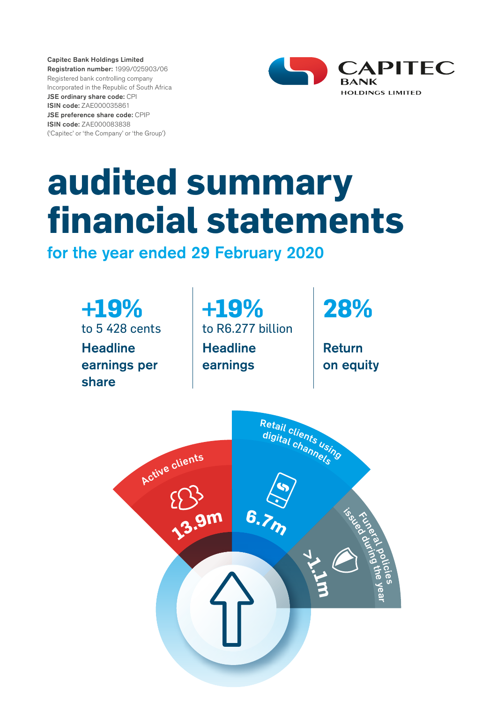Capitec Bank Holdings Limited Registration number: 1999/025903/06 Registered bank controlling company Incorporated in the Republic of South Africa JSE ordinary share code: CPI ISIN code: ZAE000035861 JSE preference share code: CPIP ISIN code: ZAE000083838 ('Capitec' or 'the Company' or 'the Group')



# **audited summary financial statements**

for the year ended 29 February 2020

**+19%**  to 5 428 cents **Headline** earnings per share

**+19%**  to R6.277 billion **Headline** earnings

**28%**

Return on equity

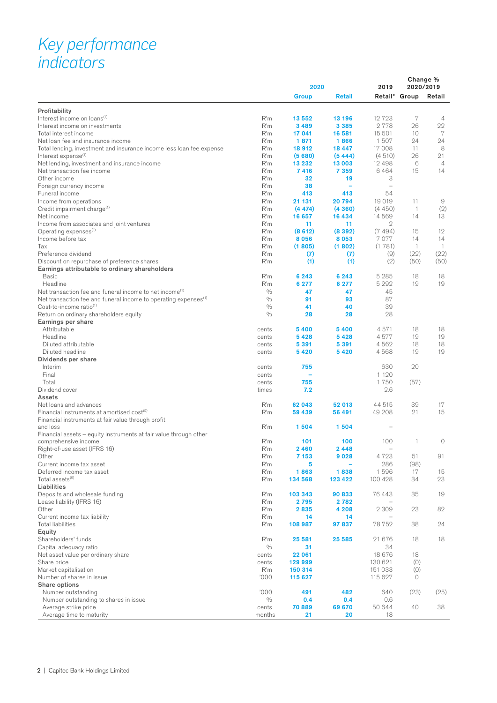# *Key performance indicators*

| Retail* Group<br>Group<br><b>Retail</b><br>Retail<br>7<br>R'm<br>12723<br>13 552<br>13 196<br>$\overline{4}$<br>2778<br>22<br>R'm<br>3489<br>3 3 8 5<br>26<br>15 501<br>7<br>R'm<br>10<br>Total interest income<br>17 041<br>16 581<br>R'm<br>1871<br>1866<br>1507<br>24<br>24<br>Net loan fee and insurance income<br>17 008<br>8<br>R'm<br>18912<br>Total lending, investment and insurance income less loan fee expense<br>18 447<br>11<br>21<br>R'm<br>(5680)<br>(4510)<br>26<br>Interest expense <sup>(1)</sup><br>(5444)<br>R'm<br>12 498<br>6<br>$\overline{4}$<br>Net lending, investment and insurance income<br>13 232<br>13 003<br>6464<br>Net transaction fee income<br>R'm<br>7416<br>7 3 5 9<br>15<br>14<br>R'm<br>3<br>Other income<br>32<br>19<br>R'm<br>38<br>Foreign currency income<br>۰<br>$\overline{\phantom{0}}$<br>R'm<br>54<br>Funeral income<br>413<br>413<br>R'm<br>20794<br>19019<br>Income from operations<br>21 131<br>11<br>9<br>(2)<br>R'm<br>(4450)<br>Credit impairment charge <sup>(1)</sup><br>(4474)<br>(4360)<br>$\mathbf{1}$<br>R'm<br>14569<br>13<br>16 657<br>16 434<br>14<br>R'm<br>11<br>11<br>2<br>R'm<br>(8612)<br>(8392)<br>(7494)<br>15<br>12<br>R'm<br>8056<br>8053<br>7077<br>14<br>14<br>R'm<br>(1805)<br>(1781)<br>$\mathbf{1}$<br>$\overline{1}$<br>(1802)<br>R'm<br>(9)<br>(22)<br>(22)<br>(7)<br>(7)<br>Discount on repurchase of preference shares<br>R'm<br>(1)<br>(1)<br>(2)<br>(50)<br>(50)<br><b>Basic</b><br>R'm<br>6 2 4 3<br>5 2 8 5<br>18<br>18<br>6 2 4 3<br>5 2 9 2<br>Headline<br>R'm<br>6 277<br>6 277<br>19<br>19<br>Net transaction fee and funeral income to net income <sup>(1)</sup><br>$\frac{0}{0}$<br>45<br>47<br>47<br>87<br>$\frac{0}{0}$<br>91<br>93<br>Net transaction fee and funeral income to operating expenses <sup>(1)</sup><br>$\frac{0}{0}$<br>39<br>Cost-to-income ratio <sup>(1)</sup><br>41<br>40<br>$\frac{0}{0}$<br>28<br>28<br>28<br>Return on ordinary shareholders equity<br>Earnings per share<br>Attributable<br>5 4 0 0<br>5400<br>4571<br>18<br>18<br>cents<br>Headline<br>5428<br>4577<br>19<br>19<br>cents<br>5428<br>Diluted attributable<br>4562<br>18<br>18<br>cents<br>5 3 9 1<br>5 3 9 1<br>5420<br>5420<br>4568<br>19<br>19<br>Diluted headline<br>cents<br>Dividends per share<br>20<br>630<br>Interim<br>755<br>cents<br>Final<br>1 1 2 0<br>cents<br>-<br>Total<br>755<br>1750<br>(57)<br>cents<br>2.6<br>times<br>7.2<br>Net loans and advances<br>R'm<br>52 013<br>44 515<br>39<br>17<br>62 043<br>R'm<br>49 208<br>21<br>15<br>Financial instruments at amortised cost <sup>(2)</sup><br>59 439<br>56 491<br>Financial instruments at fair value through profit<br>R'm<br>and loss<br>1504<br>1504<br>Financial assets – equity instruments at fair value through other<br>R'm<br>100<br>$\circ$<br>comprehensive income<br>101<br>100<br>1<br>Right-of-use asset (IFRS 16)<br>R'm<br>2460<br>2448<br>4723<br>R'm<br>7 1 5 3<br>51<br>91<br>Other<br>9028<br>R'm<br>286<br>(98)<br>Current income tax asset<br>5<br>Deferred income tax asset<br>R'm<br>1863<br>1838<br>1596<br>17<br>15<br>23<br>Total assets <sup>(9)</sup><br>R'm<br>100 428<br>34<br>134 568<br>123 422<br>Liabilities<br>Deposits and wholesale funding<br>R'm<br>35<br>19<br>103 343<br>90 833<br>76443<br>R'm<br>2795<br>2 7 8 2<br>R'm<br>2 3 0 9<br>23<br>82<br>2835<br>4 2 0 8<br>R'm<br>14<br>14<br>R'm<br>108 987<br>97837<br>78 752<br>38<br>24<br>Equity<br>Shareholders' funds<br>R'm<br>25 5 85<br>21 676<br>18<br>18<br>25 581<br>$\frac{0}{0}$<br>34<br>Capital adequacy ratio<br>31<br>18 676<br>18<br>Net asset value per ordinary share<br>cents<br>22 061<br>Share price<br>cents<br>130 621<br>(0)<br>129 999<br>Market capitalisation<br>R'm<br>151 033<br>(0)<br>150 314<br>Number of shares in issue<br>'000<br>115 627<br>0<br>115 627<br>Share options<br>(25)<br>'000<br>491<br>482<br>640<br>(23)<br>Number outstanding<br>Number outstanding to shares in issue<br>$\frac{0}{0}$<br>0.4<br>0.6<br>0.4<br>40<br>70889<br>50 644<br>38<br>Average strike price<br>cents<br>69 670<br>Average time to maturity<br>months<br>21<br>20<br>18 |                                                |  | 2020 |  | Change %<br>2020/2019 |  |
|---------------------------------------------------------------------------------------------------------------------------------------------------------------------------------------------------------------------------------------------------------------------------------------------------------------------------------------------------------------------------------------------------------------------------------------------------------------------------------------------------------------------------------------------------------------------------------------------------------------------------------------------------------------------------------------------------------------------------------------------------------------------------------------------------------------------------------------------------------------------------------------------------------------------------------------------------------------------------------------------------------------------------------------------------------------------------------------------------------------------------------------------------------------------------------------------------------------------------------------------------------------------------------------------------------------------------------------------------------------------------------------------------------------------------------------------------------------------------------------------------------------------------------------------------------------------------------------------------------------------------------------------------------------------------------------------------------------------------------------------------------------------------------------------------------------------------------------------------------------------------------------------------------------------------------------------------------------------------------------------------------------------------------------------------------------------------------------------------------------------------------------------------------------------------------------------------------------------------------------------------------------------------------------------------------------------------------------------------------------------------------------------------------------------------------------------------------------------------------------------------------------------------------------------------------------------------------------------------------------------------------------------------------------------------------------------------------------------------------------------------------------------------------------------------------------------------------------------------------------------------------------------------------------------------------------------------------------------------------------------------------------------------------------------------------------------------------------------------------------------------------------------------------------------------------------------------------------------------------------------------------------------------------------------------------------------------------------------------------------------------------------------------------------------------------------------------------------------------------------------------------------------------------------------------------------------------------------------------------------------------------------------------------------------------------------------------------------------------------------------------------------------------------------------------------------------------------------------------------------------------------------------------------------------------------------------------------------------------------------------------------------------------------------------------------------------------------------------------------------------------------------------------------|------------------------------------------------|--|------|--|-----------------------|--|
|                                                                                                                                                                                                                                                                                                                                                                                                                                                                                                                                                                                                                                                                                                                                                                                                                                                                                                                                                                                                                                                                                                                                                                                                                                                                                                                                                                                                                                                                                                                                                                                                                                                                                                                                                                                                                                                                                                                                                                                                                                                                                                                                                                                                                                                                                                                                                                                                                                                                                                                                                                                                                                                                                                                                                                                                                                                                                                                                                                                                                                                                                                                                                                                                                                                                                                                                                                                                                                                                                                                                                                                                                                                                                                                                                                                                                                                                                                                                                                                                                                                                                                                                                         |                                                |  |      |  |                       |  |
|                                                                                                                                                                                                                                                                                                                                                                                                                                                                                                                                                                                                                                                                                                                                                                                                                                                                                                                                                                                                                                                                                                                                                                                                                                                                                                                                                                                                                                                                                                                                                                                                                                                                                                                                                                                                                                                                                                                                                                                                                                                                                                                                                                                                                                                                                                                                                                                                                                                                                                                                                                                                                                                                                                                                                                                                                                                                                                                                                                                                                                                                                                                                                                                                                                                                                                                                                                                                                                                                                                                                                                                                                                                                                                                                                                                                                                                                                                                                                                                                                                                                                                                                                         | Profitability                                  |  |      |  |                       |  |
|                                                                                                                                                                                                                                                                                                                                                                                                                                                                                                                                                                                                                                                                                                                                                                                                                                                                                                                                                                                                                                                                                                                                                                                                                                                                                                                                                                                                                                                                                                                                                                                                                                                                                                                                                                                                                                                                                                                                                                                                                                                                                                                                                                                                                                                                                                                                                                                                                                                                                                                                                                                                                                                                                                                                                                                                                                                                                                                                                                                                                                                                                                                                                                                                                                                                                                                                                                                                                                                                                                                                                                                                                                                                                                                                                                                                                                                                                                                                                                                                                                                                                                                                                         | Interest income on loans <sup>(1)</sup>        |  |      |  |                       |  |
|                                                                                                                                                                                                                                                                                                                                                                                                                                                                                                                                                                                                                                                                                                                                                                                                                                                                                                                                                                                                                                                                                                                                                                                                                                                                                                                                                                                                                                                                                                                                                                                                                                                                                                                                                                                                                                                                                                                                                                                                                                                                                                                                                                                                                                                                                                                                                                                                                                                                                                                                                                                                                                                                                                                                                                                                                                                                                                                                                                                                                                                                                                                                                                                                                                                                                                                                                                                                                                                                                                                                                                                                                                                                                                                                                                                                                                                                                                                                                                                                                                                                                                                                                         | Interest income on investments                 |  |      |  |                       |  |
|                                                                                                                                                                                                                                                                                                                                                                                                                                                                                                                                                                                                                                                                                                                                                                                                                                                                                                                                                                                                                                                                                                                                                                                                                                                                                                                                                                                                                                                                                                                                                                                                                                                                                                                                                                                                                                                                                                                                                                                                                                                                                                                                                                                                                                                                                                                                                                                                                                                                                                                                                                                                                                                                                                                                                                                                                                                                                                                                                                                                                                                                                                                                                                                                                                                                                                                                                                                                                                                                                                                                                                                                                                                                                                                                                                                                                                                                                                                                                                                                                                                                                                                                                         |                                                |  |      |  |                       |  |
|                                                                                                                                                                                                                                                                                                                                                                                                                                                                                                                                                                                                                                                                                                                                                                                                                                                                                                                                                                                                                                                                                                                                                                                                                                                                                                                                                                                                                                                                                                                                                                                                                                                                                                                                                                                                                                                                                                                                                                                                                                                                                                                                                                                                                                                                                                                                                                                                                                                                                                                                                                                                                                                                                                                                                                                                                                                                                                                                                                                                                                                                                                                                                                                                                                                                                                                                                                                                                                                                                                                                                                                                                                                                                                                                                                                                                                                                                                                                                                                                                                                                                                                                                         |                                                |  |      |  |                       |  |
|                                                                                                                                                                                                                                                                                                                                                                                                                                                                                                                                                                                                                                                                                                                                                                                                                                                                                                                                                                                                                                                                                                                                                                                                                                                                                                                                                                                                                                                                                                                                                                                                                                                                                                                                                                                                                                                                                                                                                                                                                                                                                                                                                                                                                                                                                                                                                                                                                                                                                                                                                                                                                                                                                                                                                                                                                                                                                                                                                                                                                                                                                                                                                                                                                                                                                                                                                                                                                                                                                                                                                                                                                                                                                                                                                                                                                                                                                                                                                                                                                                                                                                                                                         |                                                |  |      |  |                       |  |
|                                                                                                                                                                                                                                                                                                                                                                                                                                                                                                                                                                                                                                                                                                                                                                                                                                                                                                                                                                                                                                                                                                                                                                                                                                                                                                                                                                                                                                                                                                                                                                                                                                                                                                                                                                                                                                                                                                                                                                                                                                                                                                                                                                                                                                                                                                                                                                                                                                                                                                                                                                                                                                                                                                                                                                                                                                                                                                                                                                                                                                                                                                                                                                                                                                                                                                                                                                                                                                                                                                                                                                                                                                                                                                                                                                                                                                                                                                                                                                                                                                                                                                                                                         |                                                |  |      |  |                       |  |
|                                                                                                                                                                                                                                                                                                                                                                                                                                                                                                                                                                                                                                                                                                                                                                                                                                                                                                                                                                                                                                                                                                                                                                                                                                                                                                                                                                                                                                                                                                                                                                                                                                                                                                                                                                                                                                                                                                                                                                                                                                                                                                                                                                                                                                                                                                                                                                                                                                                                                                                                                                                                                                                                                                                                                                                                                                                                                                                                                                                                                                                                                                                                                                                                                                                                                                                                                                                                                                                                                                                                                                                                                                                                                                                                                                                                                                                                                                                                                                                                                                                                                                                                                         |                                                |  |      |  |                       |  |
|                                                                                                                                                                                                                                                                                                                                                                                                                                                                                                                                                                                                                                                                                                                                                                                                                                                                                                                                                                                                                                                                                                                                                                                                                                                                                                                                                                                                                                                                                                                                                                                                                                                                                                                                                                                                                                                                                                                                                                                                                                                                                                                                                                                                                                                                                                                                                                                                                                                                                                                                                                                                                                                                                                                                                                                                                                                                                                                                                                                                                                                                                                                                                                                                                                                                                                                                                                                                                                                                                                                                                                                                                                                                                                                                                                                                                                                                                                                                                                                                                                                                                                                                                         |                                                |  |      |  |                       |  |
|                                                                                                                                                                                                                                                                                                                                                                                                                                                                                                                                                                                                                                                                                                                                                                                                                                                                                                                                                                                                                                                                                                                                                                                                                                                                                                                                                                                                                                                                                                                                                                                                                                                                                                                                                                                                                                                                                                                                                                                                                                                                                                                                                                                                                                                                                                                                                                                                                                                                                                                                                                                                                                                                                                                                                                                                                                                                                                                                                                                                                                                                                                                                                                                                                                                                                                                                                                                                                                                                                                                                                                                                                                                                                                                                                                                                                                                                                                                                                                                                                                                                                                                                                         |                                                |  |      |  |                       |  |
|                                                                                                                                                                                                                                                                                                                                                                                                                                                                                                                                                                                                                                                                                                                                                                                                                                                                                                                                                                                                                                                                                                                                                                                                                                                                                                                                                                                                                                                                                                                                                                                                                                                                                                                                                                                                                                                                                                                                                                                                                                                                                                                                                                                                                                                                                                                                                                                                                                                                                                                                                                                                                                                                                                                                                                                                                                                                                                                                                                                                                                                                                                                                                                                                                                                                                                                                                                                                                                                                                                                                                                                                                                                                                                                                                                                                                                                                                                                                                                                                                                                                                                                                                         |                                                |  |      |  |                       |  |
|                                                                                                                                                                                                                                                                                                                                                                                                                                                                                                                                                                                                                                                                                                                                                                                                                                                                                                                                                                                                                                                                                                                                                                                                                                                                                                                                                                                                                                                                                                                                                                                                                                                                                                                                                                                                                                                                                                                                                                                                                                                                                                                                                                                                                                                                                                                                                                                                                                                                                                                                                                                                                                                                                                                                                                                                                                                                                                                                                                                                                                                                                                                                                                                                                                                                                                                                                                                                                                                                                                                                                                                                                                                                                                                                                                                                                                                                                                                                                                                                                                                                                                                                                         |                                                |  |      |  |                       |  |
|                                                                                                                                                                                                                                                                                                                                                                                                                                                                                                                                                                                                                                                                                                                                                                                                                                                                                                                                                                                                                                                                                                                                                                                                                                                                                                                                                                                                                                                                                                                                                                                                                                                                                                                                                                                                                                                                                                                                                                                                                                                                                                                                                                                                                                                                                                                                                                                                                                                                                                                                                                                                                                                                                                                                                                                                                                                                                                                                                                                                                                                                                                                                                                                                                                                                                                                                                                                                                                                                                                                                                                                                                                                                                                                                                                                                                                                                                                                                                                                                                                                                                                                                                         |                                                |  |      |  |                       |  |
|                                                                                                                                                                                                                                                                                                                                                                                                                                                                                                                                                                                                                                                                                                                                                                                                                                                                                                                                                                                                                                                                                                                                                                                                                                                                                                                                                                                                                                                                                                                                                                                                                                                                                                                                                                                                                                                                                                                                                                                                                                                                                                                                                                                                                                                                                                                                                                                                                                                                                                                                                                                                                                                                                                                                                                                                                                                                                                                                                                                                                                                                                                                                                                                                                                                                                                                                                                                                                                                                                                                                                                                                                                                                                                                                                                                                                                                                                                                                                                                                                                                                                                                                                         | Net income                                     |  |      |  |                       |  |
|                                                                                                                                                                                                                                                                                                                                                                                                                                                                                                                                                                                                                                                                                                                                                                                                                                                                                                                                                                                                                                                                                                                                                                                                                                                                                                                                                                                                                                                                                                                                                                                                                                                                                                                                                                                                                                                                                                                                                                                                                                                                                                                                                                                                                                                                                                                                                                                                                                                                                                                                                                                                                                                                                                                                                                                                                                                                                                                                                                                                                                                                                                                                                                                                                                                                                                                                                                                                                                                                                                                                                                                                                                                                                                                                                                                                                                                                                                                                                                                                                                                                                                                                                         | Income from associates and joint ventures      |  |      |  |                       |  |
|                                                                                                                                                                                                                                                                                                                                                                                                                                                                                                                                                                                                                                                                                                                                                                                                                                                                                                                                                                                                                                                                                                                                                                                                                                                                                                                                                                                                                                                                                                                                                                                                                                                                                                                                                                                                                                                                                                                                                                                                                                                                                                                                                                                                                                                                                                                                                                                                                                                                                                                                                                                                                                                                                                                                                                                                                                                                                                                                                                                                                                                                                                                                                                                                                                                                                                                                                                                                                                                                                                                                                                                                                                                                                                                                                                                                                                                                                                                                                                                                                                                                                                                                                         | Operating expenses <sup>(1)</sup>              |  |      |  |                       |  |
|                                                                                                                                                                                                                                                                                                                                                                                                                                                                                                                                                                                                                                                                                                                                                                                                                                                                                                                                                                                                                                                                                                                                                                                                                                                                                                                                                                                                                                                                                                                                                                                                                                                                                                                                                                                                                                                                                                                                                                                                                                                                                                                                                                                                                                                                                                                                                                                                                                                                                                                                                                                                                                                                                                                                                                                                                                                                                                                                                                                                                                                                                                                                                                                                                                                                                                                                                                                                                                                                                                                                                                                                                                                                                                                                                                                                                                                                                                                                                                                                                                                                                                                                                         | Income before tax                              |  |      |  |                       |  |
|                                                                                                                                                                                                                                                                                                                                                                                                                                                                                                                                                                                                                                                                                                                                                                                                                                                                                                                                                                                                                                                                                                                                                                                                                                                                                                                                                                                                                                                                                                                                                                                                                                                                                                                                                                                                                                                                                                                                                                                                                                                                                                                                                                                                                                                                                                                                                                                                                                                                                                                                                                                                                                                                                                                                                                                                                                                                                                                                                                                                                                                                                                                                                                                                                                                                                                                                                                                                                                                                                                                                                                                                                                                                                                                                                                                                                                                                                                                                                                                                                                                                                                                                                         | Tax                                            |  |      |  |                       |  |
|                                                                                                                                                                                                                                                                                                                                                                                                                                                                                                                                                                                                                                                                                                                                                                                                                                                                                                                                                                                                                                                                                                                                                                                                                                                                                                                                                                                                                                                                                                                                                                                                                                                                                                                                                                                                                                                                                                                                                                                                                                                                                                                                                                                                                                                                                                                                                                                                                                                                                                                                                                                                                                                                                                                                                                                                                                                                                                                                                                                                                                                                                                                                                                                                                                                                                                                                                                                                                                                                                                                                                                                                                                                                                                                                                                                                                                                                                                                                                                                                                                                                                                                                                         | Preference dividend                            |  |      |  |                       |  |
|                                                                                                                                                                                                                                                                                                                                                                                                                                                                                                                                                                                                                                                                                                                                                                                                                                                                                                                                                                                                                                                                                                                                                                                                                                                                                                                                                                                                                                                                                                                                                                                                                                                                                                                                                                                                                                                                                                                                                                                                                                                                                                                                                                                                                                                                                                                                                                                                                                                                                                                                                                                                                                                                                                                                                                                                                                                                                                                                                                                                                                                                                                                                                                                                                                                                                                                                                                                                                                                                                                                                                                                                                                                                                                                                                                                                                                                                                                                                                                                                                                                                                                                                                         |                                                |  |      |  |                       |  |
|                                                                                                                                                                                                                                                                                                                                                                                                                                                                                                                                                                                                                                                                                                                                                                                                                                                                                                                                                                                                                                                                                                                                                                                                                                                                                                                                                                                                                                                                                                                                                                                                                                                                                                                                                                                                                                                                                                                                                                                                                                                                                                                                                                                                                                                                                                                                                                                                                                                                                                                                                                                                                                                                                                                                                                                                                                                                                                                                                                                                                                                                                                                                                                                                                                                                                                                                                                                                                                                                                                                                                                                                                                                                                                                                                                                                                                                                                                                                                                                                                                                                                                                                                         | Earnings attributable to ordinary shareholders |  |      |  |                       |  |
|                                                                                                                                                                                                                                                                                                                                                                                                                                                                                                                                                                                                                                                                                                                                                                                                                                                                                                                                                                                                                                                                                                                                                                                                                                                                                                                                                                                                                                                                                                                                                                                                                                                                                                                                                                                                                                                                                                                                                                                                                                                                                                                                                                                                                                                                                                                                                                                                                                                                                                                                                                                                                                                                                                                                                                                                                                                                                                                                                                                                                                                                                                                                                                                                                                                                                                                                                                                                                                                                                                                                                                                                                                                                                                                                                                                                                                                                                                                                                                                                                                                                                                                                                         |                                                |  |      |  |                       |  |
|                                                                                                                                                                                                                                                                                                                                                                                                                                                                                                                                                                                                                                                                                                                                                                                                                                                                                                                                                                                                                                                                                                                                                                                                                                                                                                                                                                                                                                                                                                                                                                                                                                                                                                                                                                                                                                                                                                                                                                                                                                                                                                                                                                                                                                                                                                                                                                                                                                                                                                                                                                                                                                                                                                                                                                                                                                                                                                                                                                                                                                                                                                                                                                                                                                                                                                                                                                                                                                                                                                                                                                                                                                                                                                                                                                                                                                                                                                                                                                                                                                                                                                                                                         |                                                |  |      |  |                       |  |
|                                                                                                                                                                                                                                                                                                                                                                                                                                                                                                                                                                                                                                                                                                                                                                                                                                                                                                                                                                                                                                                                                                                                                                                                                                                                                                                                                                                                                                                                                                                                                                                                                                                                                                                                                                                                                                                                                                                                                                                                                                                                                                                                                                                                                                                                                                                                                                                                                                                                                                                                                                                                                                                                                                                                                                                                                                                                                                                                                                                                                                                                                                                                                                                                                                                                                                                                                                                                                                                                                                                                                                                                                                                                                                                                                                                                                                                                                                                                                                                                                                                                                                                                                         |                                                |  |      |  |                       |  |
|                                                                                                                                                                                                                                                                                                                                                                                                                                                                                                                                                                                                                                                                                                                                                                                                                                                                                                                                                                                                                                                                                                                                                                                                                                                                                                                                                                                                                                                                                                                                                                                                                                                                                                                                                                                                                                                                                                                                                                                                                                                                                                                                                                                                                                                                                                                                                                                                                                                                                                                                                                                                                                                                                                                                                                                                                                                                                                                                                                                                                                                                                                                                                                                                                                                                                                                                                                                                                                                                                                                                                                                                                                                                                                                                                                                                                                                                                                                                                                                                                                                                                                                                                         |                                                |  |      |  |                       |  |
|                                                                                                                                                                                                                                                                                                                                                                                                                                                                                                                                                                                                                                                                                                                                                                                                                                                                                                                                                                                                                                                                                                                                                                                                                                                                                                                                                                                                                                                                                                                                                                                                                                                                                                                                                                                                                                                                                                                                                                                                                                                                                                                                                                                                                                                                                                                                                                                                                                                                                                                                                                                                                                                                                                                                                                                                                                                                                                                                                                                                                                                                                                                                                                                                                                                                                                                                                                                                                                                                                                                                                                                                                                                                                                                                                                                                                                                                                                                                                                                                                                                                                                                                                         |                                                |  |      |  |                       |  |
|                                                                                                                                                                                                                                                                                                                                                                                                                                                                                                                                                                                                                                                                                                                                                                                                                                                                                                                                                                                                                                                                                                                                                                                                                                                                                                                                                                                                                                                                                                                                                                                                                                                                                                                                                                                                                                                                                                                                                                                                                                                                                                                                                                                                                                                                                                                                                                                                                                                                                                                                                                                                                                                                                                                                                                                                                                                                                                                                                                                                                                                                                                                                                                                                                                                                                                                                                                                                                                                                                                                                                                                                                                                                                                                                                                                                                                                                                                                                                                                                                                                                                                                                                         |                                                |  |      |  |                       |  |
|                                                                                                                                                                                                                                                                                                                                                                                                                                                                                                                                                                                                                                                                                                                                                                                                                                                                                                                                                                                                                                                                                                                                                                                                                                                                                                                                                                                                                                                                                                                                                                                                                                                                                                                                                                                                                                                                                                                                                                                                                                                                                                                                                                                                                                                                                                                                                                                                                                                                                                                                                                                                                                                                                                                                                                                                                                                                                                                                                                                                                                                                                                                                                                                                                                                                                                                                                                                                                                                                                                                                                                                                                                                                                                                                                                                                                                                                                                                                                                                                                                                                                                                                                         |                                                |  |      |  |                       |  |
|                                                                                                                                                                                                                                                                                                                                                                                                                                                                                                                                                                                                                                                                                                                                                                                                                                                                                                                                                                                                                                                                                                                                                                                                                                                                                                                                                                                                                                                                                                                                                                                                                                                                                                                                                                                                                                                                                                                                                                                                                                                                                                                                                                                                                                                                                                                                                                                                                                                                                                                                                                                                                                                                                                                                                                                                                                                                                                                                                                                                                                                                                                                                                                                                                                                                                                                                                                                                                                                                                                                                                                                                                                                                                                                                                                                                                                                                                                                                                                                                                                                                                                                                                         |                                                |  |      |  |                       |  |
|                                                                                                                                                                                                                                                                                                                                                                                                                                                                                                                                                                                                                                                                                                                                                                                                                                                                                                                                                                                                                                                                                                                                                                                                                                                                                                                                                                                                                                                                                                                                                                                                                                                                                                                                                                                                                                                                                                                                                                                                                                                                                                                                                                                                                                                                                                                                                                                                                                                                                                                                                                                                                                                                                                                                                                                                                                                                                                                                                                                                                                                                                                                                                                                                                                                                                                                                                                                                                                                                                                                                                                                                                                                                                                                                                                                                                                                                                                                                                                                                                                                                                                                                                         |                                                |  |      |  |                       |  |
|                                                                                                                                                                                                                                                                                                                                                                                                                                                                                                                                                                                                                                                                                                                                                                                                                                                                                                                                                                                                                                                                                                                                                                                                                                                                                                                                                                                                                                                                                                                                                                                                                                                                                                                                                                                                                                                                                                                                                                                                                                                                                                                                                                                                                                                                                                                                                                                                                                                                                                                                                                                                                                                                                                                                                                                                                                                                                                                                                                                                                                                                                                                                                                                                                                                                                                                                                                                                                                                                                                                                                                                                                                                                                                                                                                                                                                                                                                                                                                                                                                                                                                                                                         |                                                |  |      |  |                       |  |
|                                                                                                                                                                                                                                                                                                                                                                                                                                                                                                                                                                                                                                                                                                                                                                                                                                                                                                                                                                                                                                                                                                                                                                                                                                                                                                                                                                                                                                                                                                                                                                                                                                                                                                                                                                                                                                                                                                                                                                                                                                                                                                                                                                                                                                                                                                                                                                                                                                                                                                                                                                                                                                                                                                                                                                                                                                                                                                                                                                                                                                                                                                                                                                                                                                                                                                                                                                                                                                                                                                                                                                                                                                                                                                                                                                                                                                                                                                                                                                                                                                                                                                                                                         |                                                |  |      |  |                       |  |
|                                                                                                                                                                                                                                                                                                                                                                                                                                                                                                                                                                                                                                                                                                                                                                                                                                                                                                                                                                                                                                                                                                                                                                                                                                                                                                                                                                                                                                                                                                                                                                                                                                                                                                                                                                                                                                                                                                                                                                                                                                                                                                                                                                                                                                                                                                                                                                                                                                                                                                                                                                                                                                                                                                                                                                                                                                                                                                                                                                                                                                                                                                                                                                                                                                                                                                                                                                                                                                                                                                                                                                                                                                                                                                                                                                                                                                                                                                                                                                                                                                                                                                                                                         |                                                |  |      |  |                       |  |
|                                                                                                                                                                                                                                                                                                                                                                                                                                                                                                                                                                                                                                                                                                                                                                                                                                                                                                                                                                                                                                                                                                                                                                                                                                                                                                                                                                                                                                                                                                                                                                                                                                                                                                                                                                                                                                                                                                                                                                                                                                                                                                                                                                                                                                                                                                                                                                                                                                                                                                                                                                                                                                                                                                                                                                                                                                                                                                                                                                                                                                                                                                                                                                                                                                                                                                                                                                                                                                                                                                                                                                                                                                                                                                                                                                                                                                                                                                                                                                                                                                                                                                                                                         |                                                |  |      |  |                       |  |
|                                                                                                                                                                                                                                                                                                                                                                                                                                                                                                                                                                                                                                                                                                                                                                                                                                                                                                                                                                                                                                                                                                                                                                                                                                                                                                                                                                                                                                                                                                                                                                                                                                                                                                                                                                                                                                                                                                                                                                                                                                                                                                                                                                                                                                                                                                                                                                                                                                                                                                                                                                                                                                                                                                                                                                                                                                                                                                                                                                                                                                                                                                                                                                                                                                                                                                                                                                                                                                                                                                                                                                                                                                                                                                                                                                                                                                                                                                                                                                                                                                                                                                                                                         |                                                |  |      |  |                       |  |
|                                                                                                                                                                                                                                                                                                                                                                                                                                                                                                                                                                                                                                                                                                                                                                                                                                                                                                                                                                                                                                                                                                                                                                                                                                                                                                                                                                                                                                                                                                                                                                                                                                                                                                                                                                                                                                                                                                                                                                                                                                                                                                                                                                                                                                                                                                                                                                                                                                                                                                                                                                                                                                                                                                                                                                                                                                                                                                                                                                                                                                                                                                                                                                                                                                                                                                                                                                                                                                                                                                                                                                                                                                                                                                                                                                                                                                                                                                                                                                                                                                                                                                                                                         | Dividend cover                                 |  |      |  |                       |  |
|                                                                                                                                                                                                                                                                                                                                                                                                                                                                                                                                                                                                                                                                                                                                                                                                                                                                                                                                                                                                                                                                                                                                                                                                                                                                                                                                                                                                                                                                                                                                                                                                                                                                                                                                                                                                                                                                                                                                                                                                                                                                                                                                                                                                                                                                                                                                                                                                                                                                                                                                                                                                                                                                                                                                                                                                                                                                                                                                                                                                                                                                                                                                                                                                                                                                                                                                                                                                                                                                                                                                                                                                                                                                                                                                                                                                                                                                                                                                                                                                                                                                                                                                                         | Assets                                         |  |      |  |                       |  |
|                                                                                                                                                                                                                                                                                                                                                                                                                                                                                                                                                                                                                                                                                                                                                                                                                                                                                                                                                                                                                                                                                                                                                                                                                                                                                                                                                                                                                                                                                                                                                                                                                                                                                                                                                                                                                                                                                                                                                                                                                                                                                                                                                                                                                                                                                                                                                                                                                                                                                                                                                                                                                                                                                                                                                                                                                                                                                                                                                                                                                                                                                                                                                                                                                                                                                                                                                                                                                                                                                                                                                                                                                                                                                                                                                                                                                                                                                                                                                                                                                                                                                                                                                         |                                                |  |      |  |                       |  |
|                                                                                                                                                                                                                                                                                                                                                                                                                                                                                                                                                                                                                                                                                                                                                                                                                                                                                                                                                                                                                                                                                                                                                                                                                                                                                                                                                                                                                                                                                                                                                                                                                                                                                                                                                                                                                                                                                                                                                                                                                                                                                                                                                                                                                                                                                                                                                                                                                                                                                                                                                                                                                                                                                                                                                                                                                                                                                                                                                                                                                                                                                                                                                                                                                                                                                                                                                                                                                                                                                                                                                                                                                                                                                                                                                                                                                                                                                                                                                                                                                                                                                                                                                         |                                                |  |      |  |                       |  |
|                                                                                                                                                                                                                                                                                                                                                                                                                                                                                                                                                                                                                                                                                                                                                                                                                                                                                                                                                                                                                                                                                                                                                                                                                                                                                                                                                                                                                                                                                                                                                                                                                                                                                                                                                                                                                                                                                                                                                                                                                                                                                                                                                                                                                                                                                                                                                                                                                                                                                                                                                                                                                                                                                                                                                                                                                                                                                                                                                                                                                                                                                                                                                                                                                                                                                                                                                                                                                                                                                                                                                                                                                                                                                                                                                                                                                                                                                                                                                                                                                                                                                                                                                         |                                                |  |      |  |                       |  |
|                                                                                                                                                                                                                                                                                                                                                                                                                                                                                                                                                                                                                                                                                                                                                                                                                                                                                                                                                                                                                                                                                                                                                                                                                                                                                                                                                                                                                                                                                                                                                                                                                                                                                                                                                                                                                                                                                                                                                                                                                                                                                                                                                                                                                                                                                                                                                                                                                                                                                                                                                                                                                                                                                                                                                                                                                                                                                                                                                                                                                                                                                                                                                                                                                                                                                                                                                                                                                                                                                                                                                                                                                                                                                                                                                                                                                                                                                                                                                                                                                                                                                                                                                         |                                                |  |      |  |                       |  |
|                                                                                                                                                                                                                                                                                                                                                                                                                                                                                                                                                                                                                                                                                                                                                                                                                                                                                                                                                                                                                                                                                                                                                                                                                                                                                                                                                                                                                                                                                                                                                                                                                                                                                                                                                                                                                                                                                                                                                                                                                                                                                                                                                                                                                                                                                                                                                                                                                                                                                                                                                                                                                                                                                                                                                                                                                                                                                                                                                                                                                                                                                                                                                                                                                                                                                                                                                                                                                                                                                                                                                                                                                                                                                                                                                                                                                                                                                                                                                                                                                                                                                                                                                         |                                                |  |      |  |                       |  |
|                                                                                                                                                                                                                                                                                                                                                                                                                                                                                                                                                                                                                                                                                                                                                                                                                                                                                                                                                                                                                                                                                                                                                                                                                                                                                                                                                                                                                                                                                                                                                                                                                                                                                                                                                                                                                                                                                                                                                                                                                                                                                                                                                                                                                                                                                                                                                                                                                                                                                                                                                                                                                                                                                                                                                                                                                                                                                                                                                                                                                                                                                                                                                                                                                                                                                                                                                                                                                                                                                                                                                                                                                                                                                                                                                                                                                                                                                                                                                                                                                                                                                                                                                         |                                                |  |      |  |                       |  |
|                                                                                                                                                                                                                                                                                                                                                                                                                                                                                                                                                                                                                                                                                                                                                                                                                                                                                                                                                                                                                                                                                                                                                                                                                                                                                                                                                                                                                                                                                                                                                                                                                                                                                                                                                                                                                                                                                                                                                                                                                                                                                                                                                                                                                                                                                                                                                                                                                                                                                                                                                                                                                                                                                                                                                                                                                                                                                                                                                                                                                                                                                                                                                                                                                                                                                                                                                                                                                                                                                                                                                                                                                                                                                                                                                                                                                                                                                                                                                                                                                                                                                                                                                         |                                                |  |      |  |                       |  |
|                                                                                                                                                                                                                                                                                                                                                                                                                                                                                                                                                                                                                                                                                                                                                                                                                                                                                                                                                                                                                                                                                                                                                                                                                                                                                                                                                                                                                                                                                                                                                                                                                                                                                                                                                                                                                                                                                                                                                                                                                                                                                                                                                                                                                                                                                                                                                                                                                                                                                                                                                                                                                                                                                                                                                                                                                                                                                                                                                                                                                                                                                                                                                                                                                                                                                                                                                                                                                                                                                                                                                                                                                                                                                                                                                                                                                                                                                                                                                                                                                                                                                                                                                         |                                                |  |      |  |                       |  |
|                                                                                                                                                                                                                                                                                                                                                                                                                                                                                                                                                                                                                                                                                                                                                                                                                                                                                                                                                                                                                                                                                                                                                                                                                                                                                                                                                                                                                                                                                                                                                                                                                                                                                                                                                                                                                                                                                                                                                                                                                                                                                                                                                                                                                                                                                                                                                                                                                                                                                                                                                                                                                                                                                                                                                                                                                                                                                                                                                                                                                                                                                                                                                                                                                                                                                                                                                                                                                                                                                                                                                                                                                                                                                                                                                                                                                                                                                                                                                                                                                                                                                                                                                         |                                                |  |      |  |                       |  |
|                                                                                                                                                                                                                                                                                                                                                                                                                                                                                                                                                                                                                                                                                                                                                                                                                                                                                                                                                                                                                                                                                                                                                                                                                                                                                                                                                                                                                                                                                                                                                                                                                                                                                                                                                                                                                                                                                                                                                                                                                                                                                                                                                                                                                                                                                                                                                                                                                                                                                                                                                                                                                                                                                                                                                                                                                                                                                                                                                                                                                                                                                                                                                                                                                                                                                                                                                                                                                                                                                                                                                                                                                                                                                                                                                                                                                                                                                                                                                                                                                                                                                                                                                         |                                                |  |      |  |                       |  |
|                                                                                                                                                                                                                                                                                                                                                                                                                                                                                                                                                                                                                                                                                                                                                                                                                                                                                                                                                                                                                                                                                                                                                                                                                                                                                                                                                                                                                                                                                                                                                                                                                                                                                                                                                                                                                                                                                                                                                                                                                                                                                                                                                                                                                                                                                                                                                                                                                                                                                                                                                                                                                                                                                                                                                                                                                                                                                                                                                                                                                                                                                                                                                                                                                                                                                                                                                                                                                                                                                                                                                                                                                                                                                                                                                                                                                                                                                                                                                                                                                                                                                                                                                         |                                                |  |      |  |                       |  |
|                                                                                                                                                                                                                                                                                                                                                                                                                                                                                                                                                                                                                                                                                                                                                                                                                                                                                                                                                                                                                                                                                                                                                                                                                                                                                                                                                                                                                                                                                                                                                                                                                                                                                                                                                                                                                                                                                                                                                                                                                                                                                                                                                                                                                                                                                                                                                                                                                                                                                                                                                                                                                                                                                                                                                                                                                                                                                                                                                                                                                                                                                                                                                                                                                                                                                                                                                                                                                                                                                                                                                                                                                                                                                                                                                                                                                                                                                                                                                                                                                                                                                                                                                         |                                                |  |      |  |                       |  |
|                                                                                                                                                                                                                                                                                                                                                                                                                                                                                                                                                                                                                                                                                                                                                                                                                                                                                                                                                                                                                                                                                                                                                                                                                                                                                                                                                                                                                                                                                                                                                                                                                                                                                                                                                                                                                                                                                                                                                                                                                                                                                                                                                                                                                                                                                                                                                                                                                                                                                                                                                                                                                                                                                                                                                                                                                                                                                                                                                                                                                                                                                                                                                                                                                                                                                                                                                                                                                                                                                                                                                                                                                                                                                                                                                                                                                                                                                                                                                                                                                                                                                                                                                         | Lease liability (IFRS 16)                      |  |      |  |                       |  |
|                                                                                                                                                                                                                                                                                                                                                                                                                                                                                                                                                                                                                                                                                                                                                                                                                                                                                                                                                                                                                                                                                                                                                                                                                                                                                                                                                                                                                                                                                                                                                                                                                                                                                                                                                                                                                                                                                                                                                                                                                                                                                                                                                                                                                                                                                                                                                                                                                                                                                                                                                                                                                                                                                                                                                                                                                                                                                                                                                                                                                                                                                                                                                                                                                                                                                                                                                                                                                                                                                                                                                                                                                                                                                                                                                                                                                                                                                                                                                                                                                                                                                                                                                         | Other                                          |  |      |  |                       |  |
|                                                                                                                                                                                                                                                                                                                                                                                                                                                                                                                                                                                                                                                                                                                                                                                                                                                                                                                                                                                                                                                                                                                                                                                                                                                                                                                                                                                                                                                                                                                                                                                                                                                                                                                                                                                                                                                                                                                                                                                                                                                                                                                                                                                                                                                                                                                                                                                                                                                                                                                                                                                                                                                                                                                                                                                                                                                                                                                                                                                                                                                                                                                                                                                                                                                                                                                                                                                                                                                                                                                                                                                                                                                                                                                                                                                                                                                                                                                                                                                                                                                                                                                                                         | Current income tax liability                   |  |      |  |                       |  |
|                                                                                                                                                                                                                                                                                                                                                                                                                                                                                                                                                                                                                                                                                                                                                                                                                                                                                                                                                                                                                                                                                                                                                                                                                                                                                                                                                                                                                                                                                                                                                                                                                                                                                                                                                                                                                                                                                                                                                                                                                                                                                                                                                                                                                                                                                                                                                                                                                                                                                                                                                                                                                                                                                                                                                                                                                                                                                                                                                                                                                                                                                                                                                                                                                                                                                                                                                                                                                                                                                                                                                                                                                                                                                                                                                                                                                                                                                                                                                                                                                                                                                                                                                         | Total liabilities                              |  |      |  |                       |  |
|                                                                                                                                                                                                                                                                                                                                                                                                                                                                                                                                                                                                                                                                                                                                                                                                                                                                                                                                                                                                                                                                                                                                                                                                                                                                                                                                                                                                                                                                                                                                                                                                                                                                                                                                                                                                                                                                                                                                                                                                                                                                                                                                                                                                                                                                                                                                                                                                                                                                                                                                                                                                                                                                                                                                                                                                                                                                                                                                                                                                                                                                                                                                                                                                                                                                                                                                                                                                                                                                                                                                                                                                                                                                                                                                                                                                                                                                                                                                                                                                                                                                                                                                                         |                                                |  |      |  |                       |  |
|                                                                                                                                                                                                                                                                                                                                                                                                                                                                                                                                                                                                                                                                                                                                                                                                                                                                                                                                                                                                                                                                                                                                                                                                                                                                                                                                                                                                                                                                                                                                                                                                                                                                                                                                                                                                                                                                                                                                                                                                                                                                                                                                                                                                                                                                                                                                                                                                                                                                                                                                                                                                                                                                                                                                                                                                                                                                                                                                                                                                                                                                                                                                                                                                                                                                                                                                                                                                                                                                                                                                                                                                                                                                                                                                                                                                                                                                                                                                                                                                                                                                                                                                                         |                                                |  |      |  |                       |  |
|                                                                                                                                                                                                                                                                                                                                                                                                                                                                                                                                                                                                                                                                                                                                                                                                                                                                                                                                                                                                                                                                                                                                                                                                                                                                                                                                                                                                                                                                                                                                                                                                                                                                                                                                                                                                                                                                                                                                                                                                                                                                                                                                                                                                                                                                                                                                                                                                                                                                                                                                                                                                                                                                                                                                                                                                                                                                                                                                                                                                                                                                                                                                                                                                                                                                                                                                                                                                                                                                                                                                                                                                                                                                                                                                                                                                                                                                                                                                                                                                                                                                                                                                                         |                                                |  |      |  |                       |  |
|                                                                                                                                                                                                                                                                                                                                                                                                                                                                                                                                                                                                                                                                                                                                                                                                                                                                                                                                                                                                                                                                                                                                                                                                                                                                                                                                                                                                                                                                                                                                                                                                                                                                                                                                                                                                                                                                                                                                                                                                                                                                                                                                                                                                                                                                                                                                                                                                                                                                                                                                                                                                                                                                                                                                                                                                                                                                                                                                                                                                                                                                                                                                                                                                                                                                                                                                                                                                                                                                                                                                                                                                                                                                                                                                                                                                                                                                                                                                                                                                                                                                                                                                                         |                                                |  |      |  |                       |  |
|                                                                                                                                                                                                                                                                                                                                                                                                                                                                                                                                                                                                                                                                                                                                                                                                                                                                                                                                                                                                                                                                                                                                                                                                                                                                                                                                                                                                                                                                                                                                                                                                                                                                                                                                                                                                                                                                                                                                                                                                                                                                                                                                                                                                                                                                                                                                                                                                                                                                                                                                                                                                                                                                                                                                                                                                                                                                                                                                                                                                                                                                                                                                                                                                                                                                                                                                                                                                                                                                                                                                                                                                                                                                                                                                                                                                                                                                                                                                                                                                                                                                                                                                                         |                                                |  |      |  |                       |  |
|                                                                                                                                                                                                                                                                                                                                                                                                                                                                                                                                                                                                                                                                                                                                                                                                                                                                                                                                                                                                                                                                                                                                                                                                                                                                                                                                                                                                                                                                                                                                                                                                                                                                                                                                                                                                                                                                                                                                                                                                                                                                                                                                                                                                                                                                                                                                                                                                                                                                                                                                                                                                                                                                                                                                                                                                                                                                                                                                                                                                                                                                                                                                                                                                                                                                                                                                                                                                                                                                                                                                                                                                                                                                                                                                                                                                                                                                                                                                                                                                                                                                                                                                                         |                                                |  |      |  |                       |  |
|                                                                                                                                                                                                                                                                                                                                                                                                                                                                                                                                                                                                                                                                                                                                                                                                                                                                                                                                                                                                                                                                                                                                                                                                                                                                                                                                                                                                                                                                                                                                                                                                                                                                                                                                                                                                                                                                                                                                                                                                                                                                                                                                                                                                                                                                                                                                                                                                                                                                                                                                                                                                                                                                                                                                                                                                                                                                                                                                                                                                                                                                                                                                                                                                                                                                                                                                                                                                                                                                                                                                                                                                                                                                                                                                                                                                                                                                                                                                                                                                                                                                                                                                                         |                                                |  |      |  |                       |  |
|                                                                                                                                                                                                                                                                                                                                                                                                                                                                                                                                                                                                                                                                                                                                                                                                                                                                                                                                                                                                                                                                                                                                                                                                                                                                                                                                                                                                                                                                                                                                                                                                                                                                                                                                                                                                                                                                                                                                                                                                                                                                                                                                                                                                                                                                                                                                                                                                                                                                                                                                                                                                                                                                                                                                                                                                                                                                                                                                                                                                                                                                                                                                                                                                                                                                                                                                                                                                                                                                                                                                                                                                                                                                                                                                                                                                                                                                                                                                                                                                                                                                                                                                                         |                                                |  |      |  |                       |  |
|                                                                                                                                                                                                                                                                                                                                                                                                                                                                                                                                                                                                                                                                                                                                                                                                                                                                                                                                                                                                                                                                                                                                                                                                                                                                                                                                                                                                                                                                                                                                                                                                                                                                                                                                                                                                                                                                                                                                                                                                                                                                                                                                                                                                                                                                                                                                                                                                                                                                                                                                                                                                                                                                                                                                                                                                                                                                                                                                                                                                                                                                                                                                                                                                                                                                                                                                                                                                                                                                                                                                                                                                                                                                                                                                                                                                                                                                                                                                                                                                                                                                                                                                                         |                                                |  |      |  |                       |  |
|                                                                                                                                                                                                                                                                                                                                                                                                                                                                                                                                                                                                                                                                                                                                                                                                                                                                                                                                                                                                                                                                                                                                                                                                                                                                                                                                                                                                                                                                                                                                                                                                                                                                                                                                                                                                                                                                                                                                                                                                                                                                                                                                                                                                                                                                                                                                                                                                                                                                                                                                                                                                                                                                                                                                                                                                                                                                                                                                                                                                                                                                                                                                                                                                                                                                                                                                                                                                                                                                                                                                                                                                                                                                                                                                                                                                                                                                                                                                                                                                                                                                                                                                                         |                                                |  |      |  |                       |  |
|                                                                                                                                                                                                                                                                                                                                                                                                                                                                                                                                                                                                                                                                                                                                                                                                                                                                                                                                                                                                                                                                                                                                                                                                                                                                                                                                                                                                                                                                                                                                                                                                                                                                                                                                                                                                                                                                                                                                                                                                                                                                                                                                                                                                                                                                                                                                                                                                                                                                                                                                                                                                                                                                                                                                                                                                                                                                                                                                                                                                                                                                                                                                                                                                                                                                                                                                                                                                                                                                                                                                                                                                                                                                                                                                                                                                                                                                                                                                                                                                                                                                                                                                                         |                                                |  |      |  |                       |  |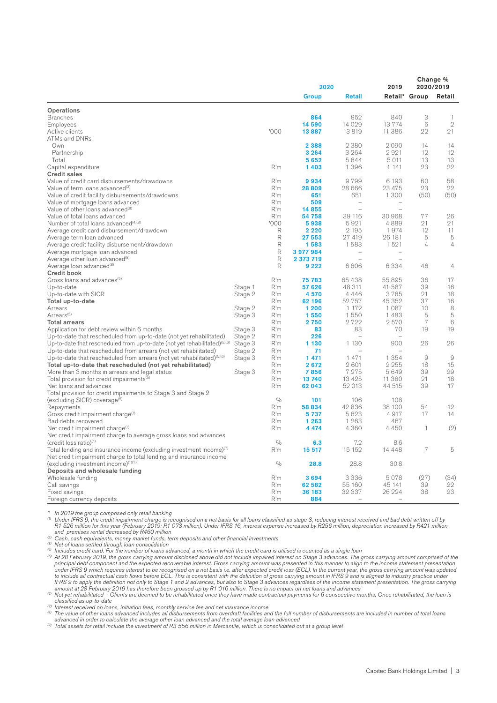| Group<br><b>Retail</b><br>Retail* Group<br>Retail<br>Operations<br>3<br>840<br><b>Branches</b><br>864<br>852<br>-1<br>14 0 29<br>13774<br>6<br>$\mathbf{2}$<br>14 590<br>Employees<br>'000<br>13819<br>11 386<br>22<br>21<br>13887<br>Active clients<br>ATMs and DNRs<br>14<br>2 3 8 8<br>2380<br>2090<br>14<br>Own<br>12<br>12<br>3 2 6 4<br>3 2 6 4<br>2921<br>Partnership<br>5652<br>5644<br>5 0 1 1<br>13<br>13<br>Total<br>22<br>R'm<br>1 3 9 6<br>23<br>Capital expenditure<br>1403<br>1 1 4 1<br><b>Credit sales</b><br>R'm<br>Value of credit card disbursements/drawdowns<br>9934<br>9799<br>6 1 9 3<br>60<br>58<br>28809<br>28 666<br>23 475<br>23<br>22<br>Value of term loans advanced <sup>(3)</sup><br>R'm<br>651<br>1 300<br>(50)<br>(50)<br>Value of credit facility disbursements/drawdowns<br>R'm<br>651<br>Value of mortgage loans advanced<br>R'm<br>509<br>$\overline{\phantom{a}}$<br>$\overline{\phantom{m}}$<br>Value of other loans advanced <sup>(8)</sup><br>R'm<br>14855<br>$\overline{\phantom{0}}$<br>$\overline{\phantom{a}}$<br>Value of total loans advanced<br>54 758<br>39 116<br>30 968<br>77<br>26<br>R'm<br>'000<br>21<br>Number of total loans advanced <sup>(4)(8)</sup><br>5938<br>5921<br>4889<br>21<br>2 1 9 5<br>12<br>Average credit card disbursement/drawdown<br>R<br>2 2 2 0<br>1974<br>11<br>R<br>27 419<br>5<br>5<br>Average term loan advanced<br>27 553<br>26 181<br>R<br>1583<br>1 5 2 1<br>$\overline{4}$<br>$\overline{4}$<br>Average credit facility disbursement/drawdown<br>1583<br>R<br>Average mortgage loan advanced<br>3 977 984<br>R<br>2 373 719<br>Average other loan advanced <sup>(8)</sup><br>L<br>R<br>9 2 2 2<br>6606<br>6334<br>46<br>Average loan advanced <sup>(8)</sup><br>4<br><b>Credit book</b><br>55 895<br>17<br>Gross loans and advances <sup>(5)</sup><br>R'm<br>75 783<br>65 438<br>36<br>48 311<br>39<br>Stage 1<br>R'm<br>57 626<br>41 587<br>16<br>Up-to-date<br>21<br>18<br>R'm<br>4570<br>4 4 4 6<br>3765<br>Up-to-date with SICR<br>Stage 2<br>52 757<br>37<br>R'm<br>62 196<br>45 352<br>16<br>Total up-to-date<br>1 200<br>1 1 7 2<br>1087<br>10<br>8<br>Arrears<br>Stage 2<br>R'm<br>Arrears <sup>(5)</sup><br>1550<br>1 4 8 3<br>5<br>5<br>Stage 3<br>R'm<br>1550<br>7<br>R'm<br>2750<br>2722<br>2570<br>6<br><b>Total arrears</b><br>R'm<br>83<br>70<br>19<br>19<br>Application for debt review within 6 months<br>Stage 3<br>83<br>Up-to-date that rescheduled from up-to-date (not yet rehabilitated)<br>Stage 2<br>R'm<br>226<br>$\overline{\phantom{a}}$<br>Up-to-date that rescheduled from up-to-date (not yet rehabilitated) $(5)(6)$<br>Stage 3<br>R'm<br>1 130<br>1 1 3 0<br>900<br>26<br>26<br>Up-to-date that rescheduled from arrears (not yet rehabilitated)<br>R'm<br>71<br>Stage 2<br>$\overline{\phantom{a}}$<br>$\overline{\phantom{a}}$<br>Up-to-date that rescheduled from arrears (not yet rehabilitated) <sup>(5)(6)</sup><br>1 471<br>1 471<br>1 3 5 4<br>9<br>9<br>Stage 3<br>R'm<br>2601<br>2 2 5 5<br>18<br>15<br>Total up-to-date that rescheduled (not yet rehabilitated)<br>R'm<br>2672<br>39<br>29<br>Stage 3<br>R'm<br>7856<br>7 2 7 5<br>5649<br>More than 3 months in arrears and legal status<br>21<br>18<br>R'm<br>13740<br>13 4 25<br>11 380<br>Total provision for credit impairments <sup>(5)</sup><br>52 013<br>39<br>17<br>Net loans and advances<br>R'm<br>62 043<br>44 515<br>Total provision for credit impairments to Stage 3 and Stage 2<br>0/0<br>(excluding SICR) coverage <sup>(5)</sup><br>101<br>106<br>108<br>R'm<br>58 834<br>42836<br>38 100<br>54<br>12<br>Repayments<br>5 6 2 3<br>4917<br>Gross credit impairment charge <sup>(1)</sup><br>R'm<br>5737<br>17<br>14<br>R'm<br>1 2 6 3<br>467<br>Bad debts recovered<br>1 263<br>(2)<br>Net credit impairment charge <sup>(1)</sup><br>4 4 7 4<br>4 3 6 0<br>4 4 5 0<br>R'm<br>1<br>Net credit impairment charge to average gross loans and advances<br>$\frac{0}{0}$<br>7.2<br>(credit loss ratio) <sup>(1)</sup><br>8.6<br>6.3<br>7<br>15 15 2<br>5<br>Total lending and insurance income (excluding investment income) <sup>(7)</sup><br>R'm<br>15 517<br>14448<br>Net credit impairment charge to total lending and insurance income<br>$\frac{0}{0}$<br>(excluding investment income)(1)(7)<br>28.8<br>30.8<br>28.8<br>Deposits and wholesale funding<br>(27)<br>(34)<br>R'm<br>3 3 3 6<br>5078<br>Wholesale funding<br>3694<br>22<br>R'm<br>62 582<br>55 160<br>45 141<br>39<br>Call savings<br>23<br>R'm<br>32 337<br>26 224<br>38<br>36 183<br>Fixed savings<br>R'm<br>884<br>Foreign currency deposits<br>$\overline{\phantom{a}}$<br>$\overline{\phantom{0}}$ |  | 2020 |  |  | Change %<br>2020/2019 |  |
|---------------------------------------------------------------------------------------------------------------------------------------------------------------------------------------------------------------------------------------------------------------------------------------------------------------------------------------------------------------------------------------------------------------------------------------------------------------------------------------------------------------------------------------------------------------------------------------------------------------------------------------------------------------------------------------------------------------------------------------------------------------------------------------------------------------------------------------------------------------------------------------------------------------------------------------------------------------------------------------------------------------------------------------------------------------------------------------------------------------------------------------------------------------------------------------------------------------------------------------------------------------------------------------------------------------------------------------------------------------------------------------------------------------------------------------------------------------------------------------------------------------------------------------------------------------------------------------------------------------------------------------------------------------------------------------------------------------------------------------------------------------------------------------------------------------------------------------------------------------------------------------------------------------------------------------------------------------------------------------------------------------------------------------------------------------------------------------------------------------------------------------------------------------------------------------------------------------------------------------------------------------------------------------------------------------------------------------------------------------------------------------------------------------------------------------------------------------------------------------------------------------------------------------------------------------------------------------------------------------------------------------------------------------------------------------------------------------------------------------------------------------------------------------------------------------------------------------------------------------------------------------------------------------------------------------------------------------------------------------------------------------------------------------------------------------------------------------------------------------------------------------------------------------------------------------------------------------------------------------------------------------------------------------------------------------------------------------------------------------------------------------------------------------------------------------------------------------------------------------------------------------------------------------------------------------------------------------------------------------------------------------------------------------------------------------------------------------------------------------------------------------------------------------------------------------------------------------------------------------------------------------------------------------------------------------------------------------------------------------------------------------------------------------------------------------------------------------------------------------------------------------------------------------------------------------------------------------------------------------------------------------------------------------------------------------------------------------------------------------------------------------------------------------------------------------------------------------------------------------------------------------------------------------------------------------------------------------------------------------------------------------------------------------------------|--|------|--|--|-----------------------|--|
|                                                                                                                                                                                                                                                                                                                                                                                                                                                                                                                                                                                                                                                                                                                                                                                                                                                                                                                                                                                                                                                                                                                                                                                                                                                                                                                                                                                                                                                                                                                                                                                                                                                                                                                                                                                                                                                                                                                                                                                                                                                                                                                                                                                                                                                                                                                                                                                                                                                                                                                                                                                                                                                                                                                                                                                                                                                                                                                                                                                                                                                                                                                                                                                                                                                                                                                                                                                                                                                                                                                                                                                                                                                                                                                                                                                                                                                                                                                                                                                                                                                                                                                                                                                                                                                                                                                                                                                                                                                                                                                                                                                                                                                                           |  |      |  |  |                       |  |
|                                                                                                                                                                                                                                                                                                                                                                                                                                                                                                                                                                                                                                                                                                                                                                                                                                                                                                                                                                                                                                                                                                                                                                                                                                                                                                                                                                                                                                                                                                                                                                                                                                                                                                                                                                                                                                                                                                                                                                                                                                                                                                                                                                                                                                                                                                                                                                                                                                                                                                                                                                                                                                                                                                                                                                                                                                                                                                                                                                                                                                                                                                                                                                                                                                                                                                                                                                                                                                                                                                                                                                                                                                                                                                                                                                                                                                                                                                                                                                                                                                                                                                                                                                                                                                                                                                                                                                                                                                                                                                                                                                                                                                                                           |  |      |  |  |                       |  |
|                                                                                                                                                                                                                                                                                                                                                                                                                                                                                                                                                                                                                                                                                                                                                                                                                                                                                                                                                                                                                                                                                                                                                                                                                                                                                                                                                                                                                                                                                                                                                                                                                                                                                                                                                                                                                                                                                                                                                                                                                                                                                                                                                                                                                                                                                                                                                                                                                                                                                                                                                                                                                                                                                                                                                                                                                                                                                                                                                                                                                                                                                                                                                                                                                                                                                                                                                                                                                                                                                                                                                                                                                                                                                                                                                                                                                                                                                                                                                                                                                                                                                                                                                                                                                                                                                                                                                                                                                                                                                                                                                                                                                                                                           |  |      |  |  |                       |  |
|                                                                                                                                                                                                                                                                                                                                                                                                                                                                                                                                                                                                                                                                                                                                                                                                                                                                                                                                                                                                                                                                                                                                                                                                                                                                                                                                                                                                                                                                                                                                                                                                                                                                                                                                                                                                                                                                                                                                                                                                                                                                                                                                                                                                                                                                                                                                                                                                                                                                                                                                                                                                                                                                                                                                                                                                                                                                                                                                                                                                                                                                                                                                                                                                                                                                                                                                                                                                                                                                                                                                                                                                                                                                                                                                                                                                                                                                                                                                                                                                                                                                                                                                                                                                                                                                                                                                                                                                                                                                                                                                                                                                                                                                           |  |      |  |  |                       |  |
|                                                                                                                                                                                                                                                                                                                                                                                                                                                                                                                                                                                                                                                                                                                                                                                                                                                                                                                                                                                                                                                                                                                                                                                                                                                                                                                                                                                                                                                                                                                                                                                                                                                                                                                                                                                                                                                                                                                                                                                                                                                                                                                                                                                                                                                                                                                                                                                                                                                                                                                                                                                                                                                                                                                                                                                                                                                                                                                                                                                                                                                                                                                                                                                                                                                                                                                                                                                                                                                                                                                                                                                                                                                                                                                                                                                                                                                                                                                                                                                                                                                                                                                                                                                                                                                                                                                                                                                                                                                                                                                                                                                                                                                                           |  |      |  |  |                       |  |
|                                                                                                                                                                                                                                                                                                                                                                                                                                                                                                                                                                                                                                                                                                                                                                                                                                                                                                                                                                                                                                                                                                                                                                                                                                                                                                                                                                                                                                                                                                                                                                                                                                                                                                                                                                                                                                                                                                                                                                                                                                                                                                                                                                                                                                                                                                                                                                                                                                                                                                                                                                                                                                                                                                                                                                                                                                                                                                                                                                                                                                                                                                                                                                                                                                                                                                                                                                                                                                                                                                                                                                                                                                                                                                                                                                                                                                                                                                                                                                                                                                                                                                                                                                                                                                                                                                                                                                                                                                                                                                                                                                                                                                                                           |  |      |  |  |                       |  |
|                                                                                                                                                                                                                                                                                                                                                                                                                                                                                                                                                                                                                                                                                                                                                                                                                                                                                                                                                                                                                                                                                                                                                                                                                                                                                                                                                                                                                                                                                                                                                                                                                                                                                                                                                                                                                                                                                                                                                                                                                                                                                                                                                                                                                                                                                                                                                                                                                                                                                                                                                                                                                                                                                                                                                                                                                                                                                                                                                                                                                                                                                                                                                                                                                                                                                                                                                                                                                                                                                                                                                                                                                                                                                                                                                                                                                                                                                                                                                                                                                                                                                                                                                                                                                                                                                                                                                                                                                                                                                                                                                                                                                                                                           |  |      |  |  |                       |  |
|                                                                                                                                                                                                                                                                                                                                                                                                                                                                                                                                                                                                                                                                                                                                                                                                                                                                                                                                                                                                                                                                                                                                                                                                                                                                                                                                                                                                                                                                                                                                                                                                                                                                                                                                                                                                                                                                                                                                                                                                                                                                                                                                                                                                                                                                                                                                                                                                                                                                                                                                                                                                                                                                                                                                                                                                                                                                                                                                                                                                                                                                                                                                                                                                                                                                                                                                                                                                                                                                                                                                                                                                                                                                                                                                                                                                                                                                                                                                                                                                                                                                                                                                                                                                                                                                                                                                                                                                                                                                                                                                                                                                                                                                           |  |      |  |  |                       |  |
|                                                                                                                                                                                                                                                                                                                                                                                                                                                                                                                                                                                                                                                                                                                                                                                                                                                                                                                                                                                                                                                                                                                                                                                                                                                                                                                                                                                                                                                                                                                                                                                                                                                                                                                                                                                                                                                                                                                                                                                                                                                                                                                                                                                                                                                                                                                                                                                                                                                                                                                                                                                                                                                                                                                                                                                                                                                                                                                                                                                                                                                                                                                                                                                                                                                                                                                                                                                                                                                                                                                                                                                                                                                                                                                                                                                                                                                                                                                                                                                                                                                                                                                                                                                                                                                                                                                                                                                                                                                                                                                                                                                                                                                                           |  |      |  |  |                       |  |
|                                                                                                                                                                                                                                                                                                                                                                                                                                                                                                                                                                                                                                                                                                                                                                                                                                                                                                                                                                                                                                                                                                                                                                                                                                                                                                                                                                                                                                                                                                                                                                                                                                                                                                                                                                                                                                                                                                                                                                                                                                                                                                                                                                                                                                                                                                                                                                                                                                                                                                                                                                                                                                                                                                                                                                                                                                                                                                                                                                                                                                                                                                                                                                                                                                                                                                                                                                                                                                                                                                                                                                                                                                                                                                                                                                                                                                                                                                                                                                                                                                                                                                                                                                                                                                                                                                                                                                                                                                                                                                                                                                                                                                                                           |  |      |  |  |                       |  |
|                                                                                                                                                                                                                                                                                                                                                                                                                                                                                                                                                                                                                                                                                                                                                                                                                                                                                                                                                                                                                                                                                                                                                                                                                                                                                                                                                                                                                                                                                                                                                                                                                                                                                                                                                                                                                                                                                                                                                                                                                                                                                                                                                                                                                                                                                                                                                                                                                                                                                                                                                                                                                                                                                                                                                                                                                                                                                                                                                                                                                                                                                                                                                                                                                                                                                                                                                                                                                                                                                                                                                                                                                                                                                                                                                                                                                                                                                                                                                                                                                                                                                                                                                                                                                                                                                                                                                                                                                                                                                                                                                                                                                                                                           |  |      |  |  |                       |  |
|                                                                                                                                                                                                                                                                                                                                                                                                                                                                                                                                                                                                                                                                                                                                                                                                                                                                                                                                                                                                                                                                                                                                                                                                                                                                                                                                                                                                                                                                                                                                                                                                                                                                                                                                                                                                                                                                                                                                                                                                                                                                                                                                                                                                                                                                                                                                                                                                                                                                                                                                                                                                                                                                                                                                                                                                                                                                                                                                                                                                                                                                                                                                                                                                                                                                                                                                                                                                                                                                                                                                                                                                                                                                                                                                                                                                                                                                                                                                                                                                                                                                                                                                                                                                                                                                                                                                                                                                                                                                                                                                                                                                                                                                           |  |      |  |  |                       |  |
|                                                                                                                                                                                                                                                                                                                                                                                                                                                                                                                                                                                                                                                                                                                                                                                                                                                                                                                                                                                                                                                                                                                                                                                                                                                                                                                                                                                                                                                                                                                                                                                                                                                                                                                                                                                                                                                                                                                                                                                                                                                                                                                                                                                                                                                                                                                                                                                                                                                                                                                                                                                                                                                                                                                                                                                                                                                                                                                                                                                                                                                                                                                                                                                                                                                                                                                                                                                                                                                                                                                                                                                                                                                                                                                                                                                                                                                                                                                                                                                                                                                                                                                                                                                                                                                                                                                                                                                                                                                                                                                                                                                                                                                                           |  |      |  |  |                       |  |
|                                                                                                                                                                                                                                                                                                                                                                                                                                                                                                                                                                                                                                                                                                                                                                                                                                                                                                                                                                                                                                                                                                                                                                                                                                                                                                                                                                                                                                                                                                                                                                                                                                                                                                                                                                                                                                                                                                                                                                                                                                                                                                                                                                                                                                                                                                                                                                                                                                                                                                                                                                                                                                                                                                                                                                                                                                                                                                                                                                                                                                                                                                                                                                                                                                                                                                                                                                                                                                                                                                                                                                                                                                                                                                                                                                                                                                                                                                                                                                                                                                                                                                                                                                                                                                                                                                                                                                                                                                                                                                                                                                                                                                                                           |  |      |  |  |                       |  |
|                                                                                                                                                                                                                                                                                                                                                                                                                                                                                                                                                                                                                                                                                                                                                                                                                                                                                                                                                                                                                                                                                                                                                                                                                                                                                                                                                                                                                                                                                                                                                                                                                                                                                                                                                                                                                                                                                                                                                                                                                                                                                                                                                                                                                                                                                                                                                                                                                                                                                                                                                                                                                                                                                                                                                                                                                                                                                                                                                                                                                                                                                                                                                                                                                                                                                                                                                                                                                                                                                                                                                                                                                                                                                                                                                                                                                                                                                                                                                                                                                                                                                                                                                                                                                                                                                                                                                                                                                                                                                                                                                                                                                                                                           |  |      |  |  |                       |  |
|                                                                                                                                                                                                                                                                                                                                                                                                                                                                                                                                                                                                                                                                                                                                                                                                                                                                                                                                                                                                                                                                                                                                                                                                                                                                                                                                                                                                                                                                                                                                                                                                                                                                                                                                                                                                                                                                                                                                                                                                                                                                                                                                                                                                                                                                                                                                                                                                                                                                                                                                                                                                                                                                                                                                                                                                                                                                                                                                                                                                                                                                                                                                                                                                                                                                                                                                                                                                                                                                                                                                                                                                                                                                                                                                                                                                                                                                                                                                                                                                                                                                                                                                                                                                                                                                                                                                                                                                                                                                                                                                                                                                                                                                           |  |      |  |  |                       |  |
|                                                                                                                                                                                                                                                                                                                                                                                                                                                                                                                                                                                                                                                                                                                                                                                                                                                                                                                                                                                                                                                                                                                                                                                                                                                                                                                                                                                                                                                                                                                                                                                                                                                                                                                                                                                                                                                                                                                                                                                                                                                                                                                                                                                                                                                                                                                                                                                                                                                                                                                                                                                                                                                                                                                                                                                                                                                                                                                                                                                                                                                                                                                                                                                                                                                                                                                                                                                                                                                                                                                                                                                                                                                                                                                                                                                                                                                                                                                                                                                                                                                                                                                                                                                                                                                                                                                                                                                                                                                                                                                                                                                                                                                                           |  |      |  |  |                       |  |
|                                                                                                                                                                                                                                                                                                                                                                                                                                                                                                                                                                                                                                                                                                                                                                                                                                                                                                                                                                                                                                                                                                                                                                                                                                                                                                                                                                                                                                                                                                                                                                                                                                                                                                                                                                                                                                                                                                                                                                                                                                                                                                                                                                                                                                                                                                                                                                                                                                                                                                                                                                                                                                                                                                                                                                                                                                                                                                                                                                                                                                                                                                                                                                                                                                                                                                                                                                                                                                                                                                                                                                                                                                                                                                                                                                                                                                                                                                                                                                                                                                                                                                                                                                                                                                                                                                                                                                                                                                                                                                                                                                                                                                                                           |  |      |  |  |                       |  |
|                                                                                                                                                                                                                                                                                                                                                                                                                                                                                                                                                                                                                                                                                                                                                                                                                                                                                                                                                                                                                                                                                                                                                                                                                                                                                                                                                                                                                                                                                                                                                                                                                                                                                                                                                                                                                                                                                                                                                                                                                                                                                                                                                                                                                                                                                                                                                                                                                                                                                                                                                                                                                                                                                                                                                                                                                                                                                                                                                                                                                                                                                                                                                                                                                                                                                                                                                                                                                                                                                                                                                                                                                                                                                                                                                                                                                                                                                                                                                                                                                                                                                                                                                                                                                                                                                                                                                                                                                                                                                                                                                                                                                                                                           |  |      |  |  |                       |  |
|                                                                                                                                                                                                                                                                                                                                                                                                                                                                                                                                                                                                                                                                                                                                                                                                                                                                                                                                                                                                                                                                                                                                                                                                                                                                                                                                                                                                                                                                                                                                                                                                                                                                                                                                                                                                                                                                                                                                                                                                                                                                                                                                                                                                                                                                                                                                                                                                                                                                                                                                                                                                                                                                                                                                                                                                                                                                                                                                                                                                                                                                                                                                                                                                                                                                                                                                                                                                                                                                                                                                                                                                                                                                                                                                                                                                                                                                                                                                                                                                                                                                                                                                                                                                                                                                                                                                                                                                                                                                                                                                                                                                                                                                           |  |      |  |  |                       |  |
|                                                                                                                                                                                                                                                                                                                                                                                                                                                                                                                                                                                                                                                                                                                                                                                                                                                                                                                                                                                                                                                                                                                                                                                                                                                                                                                                                                                                                                                                                                                                                                                                                                                                                                                                                                                                                                                                                                                                                                                                                                                                                                                                                                                                                                                                                                                                                                                                                                                                                                                                                                                                                                                                                                                                                                                                                                                                                                                                                                                                                                                                                                                                                                                                                                                                                                                                                                                                                                                                                                                                                                                                                                                                                                                                                                                                                                                                                                                                                                                                                                                                                                                                                                                                                                                                                                                                                                                                                                                                                                                                                                                                                                                                           |  |      |  |  |                       |  |
|                                                                                                                                                                                                                                                                                                                                                                                                                                                                                                                                                                                                                                                                                                                                                                                                                                                                                                                                                                                                                                                                                                                                                                                                                                                                                                                                                                                                                                                                                                                                                                                                                                                                                                                                                                                                                                                                                                                                                                                                                                                                                                                                                                                                                                                                                                                                                                                                                                                                                                                                                                                                                                                                                                                                                                                                                                                                                                                                                                                                                                                                                                                                                                                                                                                                                                                                                                                                                                                                                                                                                                                                                                                                                                                                                                                                                                                                                                                                                                                                                                                                                                                                                                                                                                                                                                                                                                                                                                                                                                                                                                                                                                                                           |  |      |  |  |                       |  |
|                                                                                                                                                                                                                                                                                                                                                                                                                                                                                                                                                                                                                                                                                                                                                                                                                                                                                                                                                                                                                                                                                                                                                                                                                                                                                                                                                                                                                                                                                                                                                                                                                                                                                                                                                                                                                                                                                                                                                                                                                                                                                                                                                                                                                                                                                                                                                                                                                                                                                                                                                                                                                                                                                                                                                                                                                                                                                                                                                                                                                                                                                                                                                                                                                                                                                                                                                                                                                                                                                                                                                                                                                                                                                                                                                                                                                                                                                                                                                                                                                                                                                                                                                                                                                                                                                                                                                                                                                                                                                                                                                                                                                                                                           |  |      |  |  |                       |  |
|                                                                                                                                                                                                                                                                                                                                                                                                                                                                                                                                                                                                                                                                                                                                                                                                                                                                                                                                                                                                                                                                                                                                                                                                                                                                                                                                                                                                                                                                                                                                                                                                                                                                                                                                                                                                                                                                                                                                                                                                                                                                                                                                                                                                                                                                                                                                                                                                                                                                                                                                                                                                                                                                                                                                                                                                                                                                                                                                                                                                                                                                                                                                                                                                                                                                                                                                                                                                                                                                                                                                                                                                                                                                                                                                                                                                                                                                                                                                                                                                                                                                                                                                                                                                                                                                                                                                                                                                                                                                                                                                                                                                                                                                           |  |      |  |  |                       |  |
|                                                                                                                                                                                                                                                                                                                                                                                                                                                                                                                                                                                                                                                                                                                                                                                                                                                                                                                                                                                                                                                                                                                                                                                                                                                                                                                                                                                                                                                                                                                                                                                                                                                                                                                                                                                                                                                                                                                                                                                                                                                                                                                                                                                                                                                                                                                                                                                                                                                                                                                                                                                                                                                                                                                                                                                                                                                                                                                                                                                                                                                                                                                                                                                                                                                                                                                                                                                                                                                                                                                                                                                                                                                                                                                                                                                                                                                                                                                                                                                                                                                                                                                                                                                                                                                                                                                                                                                                                                                                                                                                                                                                                                                                           |  |      |  |  |                       |  |
|                                                                                                                                                                                                                                                                                                                                                                                                                                                                                                                                                                                                                                                                                                                                                                                                                                                                                                                                                                                                                                                                                                                                                                                                                                                                                                                                                                                                                                                                                                                                                                                                                                                                                                                                                                                                                                                                                                                                                                                                                                                                                                                                                                                                                                                                                                                                                                                                                                                                                                                                                                                                                                                                                                                                                                                                                                                                                                                                                                                                                                                                                                                                                                                                                                                                                                                                                                                                                                                                                                                                                                                                                                                                                                                                                                                                                                                                                                                                                                                                                                                                                                                                                                                                                                                                                                                                                                                                                                                                                                                                                                                                                                                                           |  |      |  |  |                       |  |
|                                                                                                                                                                                                                                                                                                                                                                                                                                                                                                                                                                                                                                                                                                                                                                                                                                                                                                                                                                                                                                                                                                                                                                                                                                                                                                                                                                                                                                                                                                                                                                                                                                                                                                                                                                                                                                                                                                                                                                                                                                                                                                                                                                                                                                                                                                                                                                                                                                                                                                                                                                                                                                                                                                                                                                                                                                                                                                                                                                                                                                                                                                                                                                                                                                                                                                                                                                                                                                                                                                                                                                                                                                                                                                                                                                                                                                                                                                                                                                                                                                                                                                                                                                                                                                                                                                                                                                                                                                                                                                                                                                                                                                                                           |  |      |  |  |                       |  |
|                                                                                                                                                                                                                                                                                                                                                                                                                                                                                                                                                                                                                                                                                                                                                                                                                                                                                                                                                                                                                                                                                                                                                                                                                                                                                                                                                                                                                                                                                                                                                                                                                                                                                                                                                                                                                                                                                                                                                                                                                                                                                                                                                                                                                                                                                                                                                                                                                                                                                                                                                                                                                                                                                                                                                                                                                                                                                                                                                                                                                                                                                                                                                                                                                                                                                                                                                                                                                                                                                                                                                                                                                                                                                                                                                                                                                                                                                                                                                                                                                                                                                                                                                                                                                                                                                                                                                                                                                                                                                                                                                                                                                                                                           |  |      |  |  |                       |  |
|                                                                                                                                                                                                                                                                                                                                                                                                                                                                                                                                                                                                                                                                                                                                                                                                                                                                                                                                                                                                                                                                                                                                                                                                                                                                                                                                                                                                                                                                                                                                                                                                                                                                                                                                                                                                                                                                                                                                                                                                                                                                                                                                                                                                                                                                                                                                                                                                                                                                                                                                                                                                                                                                                                                                                                                                                                                                                                                                                                                                                                                                                                                                                                                                                                                                                                                                                                                                                                                                                                                                                                                                                                                                                                                                                                                                                                                                                                                                                                                                                                                                                                                                                                                                                                                                                                                                                                                                                                                                                                                                                                                                                                                                           |  |      |  |  |                       |  |
|                                                                                                                                                                                                                                                                                                                                                                                                                                                                                                                                                                                                                                                                                                                                                                                                                                                                                                                                                                                                                                                                                                                                                                                                                                                                                                                                                                                                                                                                                                                                                                                                                                                                                                                                                                                                                                                                                                                                                                                                                                                                                                                                                                                                                                                                                                                                                                                                                                                                                                                                                                                                                                                                                                                                                                                                                                                                                                                                                                                                                                                                                                                                                                                                                                                                                                                                                                                                                                                                                                                                                                                                                                                                                                                                                                                                                                                                                                                                                                                                                                                                                                                                                                                                                                                                                                                                                                                                                                                                                                                                                                                                                                                                           |  |      |  |  |                       |  |
|                                                                                                                                                                                                                                                                                                                                                                                                                                                                                                                                                                                                                                                                                                                                                                                                                                                                                                                                                                                                                                                                                                                                                                                                                                                                                                                                                                                                                                                                                                                                                                                                                                                                                                                                                                                                                                                                                                                                                                                                                                                                                                                                                                                                                                                                                                                                                                                                                                                                                                                                                                                                                                                                                                                                                                                                                                                                                                                                                                                                                                                                                                                                                                                                                                                                                                                                                                                                                                                                                                                                                                                                                                                                                                                                                                                                                                                                                                                                                                                                                                                                                                                                                                                                                                                                                                                                                                                                                                                                                                                                                                                                                                                                           |  |      |  |  |                       |  |
|                                                                                                                                                                                                                                                                                                                                                                                                                                                                                                                                                                                                                                                                                                                                                                                                                                                                                                                                                                                                                                                                                                                                                                                                                                                                                                                                                                                                                                                                                                                                                                                                                                                                                                                                                                                                                                                                                                                                                                                                                                                                                                                                                                                                                                                                                                                                                                                                                                                                                                                                                                                                                                                                                                                                                                                                                                                                                                                                                                                                                                                                                                                                                                                                                                                                                                                                                                                                                                                                                                                                                                                                                                                                                                                                                                                                                                                                                                                                                                                                                                                                                                                                                                                                                                                                                                                                                                                                                                                                                                                                                                                                                                                                           |  |      |  |  |                       |  |
|                                                                                                                                                                                                                                                                                                                                                                                                                                                                                                                                                                                                                                                                                                                                                                                                                                                                                                                                                                                                                                                                                                                                                                                                                                                                                                                                                                                                                                                                                                                                                                                                                                                                                                                                                                                                                                                                                                                                                                                                                                                                                                                                                                                                                                                                                                                                                                                                                                                                                                                                                                                                                                                                                                                                                                                                                                                                                                                                                                                                                                                                                                                                                                                                                                                                                                                                                                                                                                                                                                                                                                                                                                                                                                                                                                                                                                                                                                                                                                                                                                                                                                                                                                                                                                                                                                                                                                                                                                                                                                                                                                                                                                                                           |  |      |  |  |                       |  |
|                                                                                                                                                                                                                                                                                                                                                                                                                                                                                                                                                                                                                                                                                                                                                                                                                                                                                                                                                                                                                                                                                                                                                                                                                                                                                                                                                                                                                                                                                                                                                                                                                                                                                                                                                                                                                                                                                                                                                                                                                                                                                                                                                                                                                                                                                                                                                                                                                                                                                                                                                                                                                                                                                                                                                                                                                                                                                                                                                                                                                                                                                                                                                                                                                                                                                                                                                                                                                                                                                                                                                                                                                                                                                                                                                                                                                                                                                                                                                                                                                                                                                                                                                                                                                                                                                                                                                                                                                                                                                                                                                                                                                                                                           |  |      |  |  |                       |  |
|                                                                                                                                                                                                                                                                                                                                                                                                                                                                                                                                                                                                                                                                                                                                                                                                                                                                                                                                                                                                                                                                                                                                                                                                                                                                                                                                                                                                                                                                                                                                                                                                                                                                                                                                                                                                                                                                                                                                                                                                                                                                                                                                                                                                                                                                                                                                                                                                                                                                                                                                                                                                                                                                                                                                                                                                                                                                                                                                                                                                                                                                                                                                                                                                                                                                                                                                                                                                                                                                                                                                                                                                                                                                                                                                                                                                                                                                                                                                                                                                                                                                                                                                                                                                                                                                                                                                                                                                                                                                                                                                                                                                                                                                           |  |      |  |  |                       |  |
|                                                                                                                                                                                                                                                                                                                                                                                                                                                                                                                                                                                                                                                                                                                                                                                                                                                                                                                                                                                                                                                                                                                                                                                                                                                                                                                                                                                                                                                                                                                                                                                                                                                                                                                                                                                                                                                                                                                                                                                                                                                                                                                                                                                                                                                                                                                                                                                                                                                                                                                                                                                                                                                                                                                                                                                                                                                                                                                                                                                                                                                                                                                                                                                                                                                                                                                                                                                                                                                                                                                                                                                                                                                                                                                                                                                                                                                                                                                                                                                                                                                                                                                                                                                                                                                                                                                                                                                                                                                                                                                                                                                                                                                                           |  |      |  |  |                       |  |
|                                                                                                                                                                                                                                                                                                                                                                                                                                                                                                                                                                                                                                                                                                                                                                                                                                                                                                                                                                                                                                                                                                                                                                                                                                                                                                                                                                                                                                                                                                                                                                                                                                                                                                                                                                                                                                                                                                                                                                                                                                                                                                                                                                                                                                                                                                                                                                                                                                                                                                                                                                                                                                                                                                                                                                                                                                                                                                                                                                                                                                                                                                                                                                                                                                                                                                                                                                                                                                                                                                                                                                                                                                                                                                                                                                                                                                                                                                                                                                                                                                                                                                                                                                                                                                                                                                                                                                                                                                                                                                                                                                                                                                                                           |  |      |  |  |                       |  |
|                                                                                                                                                                                                                                                                                                                                                                                                                                                                                                                                                                                                                                                                                                                                                                                                                                                                                                                                                                                                                                                                                                                                                                                                                                                                                                                                                                                                                                                                                                                                                                                                                                                                                                                                                                                                                                                                                                                                                                                                                                                                                                                                                                                                                                                                                                                                                                                                                                                                                                                                                                                                                                                                                                                                                                                                                                                                                                                                                                                                                                                                                                                                                                                                                                                                                                                                                                                                                                                                                                                                                                                                                                                                                                                                                                                                                                                                                                                                                                                                                                                                                                                                                                                                                                                                                                                                                                                                                                                                                                                                                                                                                                                                           |  |      |  |  |                       |  |
|                                                                                                                                                                                                                                                                                                                                                                                                                                                                                                                                                                                                                                                                                                                                                                                                                                                                                                                                                                                                                                                                                                                                                                                                                                                                                                                                                                                                                                                                                                                                                                                                                                                                                                                                                                                                                                                                                                                                                                                                                                                                                                                                                                                                                                                                                                                                                                                                                                                                                                                                                                                                                                                                                                                                                                                                                                                                                                                                                                                                                                                                                                                                                                                                                                                                                                                                                                                                                                                                                                                                                                                                                                                                                                                                                                                                                                                                                                                                                                                                                                                                                                                                                                                                                                                                                                                                                                                                                                                                                                                                                                                                                                                                           |  |      |  |  |                       |  |
|                                                                                                                                                                                                                                                                                                                                                                                                                                                                                                                                                                                                                                                                                                                                                                                                                                                                                                                                                                                                                                                                                                                                                                                                                                                                                                                                                                                                                                                                                                                                                                                                                                                                                                                                                                                                                                                                                                                                                                                                                                                                                                                                                                                                                                                                                                                                                                                                                                                                                                                                                                                                                                                                                                                                                                                                                                                                                                                                                                                                                                                                                                                                                                                                                                                                                                                                                                                                                                                                                                                                                                                                                                                                                                                                                                                                                                                                                                                                                                                                                                                                                                                                                                                                                                                                                                                                                                                                                                                                                                                                                                                                                                                                           |  |      |  |  |                       |  |
|                                                                                                                                                                                                                                                                                                                                                                                                                                                                                                                                                                                                                                                                                                                                                                                                                                                                                                                                                                                                                                                                                                                                                                                                                                                                                                                                                                                                                                                                                                                                                                                                                                                                                                                                                                                                                                                                                                                                                                                                                                                                                                                                                                                                                                                                                                                                                                                                                                                                                                                                                                                                                                                                                                                                                                                                                                                                                                                                                                                                                                                                                                                                                                                                                                                                                                                                                                                                                                                                                                                                                                                                                                                                                                                                                                                                                                                                                                                                                                                                                                                                                                                                                                                                                                                                                                                                                                                                                                                                                                                                                                                                                                                                           |  |      |  |  |                       |  |
|                                                                                                                                                                                                                                                                                                                                                                                                                                                                                                                                                                                                                                                                                                                                                                                                                                                                                                                                                                                                                                                                                                                                                                                                                                                                                                                                                                                                                                                                                                                                                                                                                                                                                                                                                                                                                                                                                                                                                                                                                                                                                                                                                                                                                                                                                                                                                                                                                                                                                                                                                                                                                                                                                                                                                                                                                                                                                                                                                                                                                                                                                                                                                                                                                                                                                                                                                                                                                                                                                                                                                                                                                                                                                                                                                                                                                                                                                                                                                                                                                                                                                                                                                                                                                                                                                                                                                                                                                                                                                                                                                                                                                                                                           |  |      |  |  |                       |  |
|                                                                                                                                                                                                                                                                                                                                                                                                                                                                                                                                                                                                                                                                                                                                                                                                                                                                                                                                                                                                                                                                                                                                                                                                                                                                                                                                                                                                                                                                                                                                                                                                                                                                                                                                                                                                                                                                                                                                                                                                                                                                                                                                                                                                                                                                                                                                                                                                                                                                                                                                                                                                                                                                                                                                                                                                                                                                                                                                                                                                                                                                                                                                                                                                                                                                                                                                                                                                                                                                                                                                                                                                                                                                                                                                                                                                                                                                                                                                                                                                                                                                                                                                                                                                                                                                                                                                                                                                                                                                                                                                                                                                                                                                           |  |      |  |  |                       |  |
|                                                                                                                                                                                                                                                                                                                                                                                                                                                                                                                                                                                                                                                                                                                                                                                                                                                                                                                                                                                                                                                                                                                                                                                                                                                                                                                                                                                                                                                                                                                                                                                                                                                                                                                                                                                                                                                                                                                                                                                                                                                                                                                                                                                                                                                                                                                                                                                                                                                                                                                                                                                                                                                                                                                                                                                                                                                                                                                                                                                                                                                                                                                                                                                                                                                                                                                                                                                                                                                                                                                                                                                                                                                                                                                                                                                                                                                                                                                                                                                                                                                                                                                                                                                                                                                                                                                                                                                                                                                                                                                                                                                                                                                                           |  |      |  |  |                       |  |
|                                                                                                                                                                                                                                                                                                                                                                                                                                                                                                                                                                                                                                                                                                                                                                                                                                                                                                                                                                                                                                                                                                                                                                                                                                                                                                                                                                                                                                                                                                                                                                                                                                                                                                                                                                                                                                                                                                                                                                                                                                                                                                                                                                                                                                                                                                                                                                                                                                                                                                                                                                                                                                                                                                                                                                                                                                                                                                                                                                                                                                                                                                                                                                                                                                                                                                                                                                                                                                                                                                                                                                                                                                                                                                                                                                                                                                                                                                                                                                                                                                                                                                                                                                                                                                                                                                                                                                                                                                                                                                                                                                                                                                                                           |  |      |  |  |                       |  |
|                                                                                                                                                                                                                                                                                                                                                                                                                                                                                                                                                                                                                                                                                                                                                                                                                                                                                                                                                                                                                                                                                                                                                                                                                                                                                                                                                                                                                                                                                                                                                                                                                                                                                                                                                                                                                                                                                                                                                                                                                                                                                                                                                                                                                                                                                                                                                                                                                                                                                                                                                                                                                                                                                                                                                                                                                                                                                                                                                                                                                                                                                                                                                                                                                                                                                                                                                                                                                                                                                                                                                                                                                                                                                                                                                                                                                                                                                                                                                                                                                                                                                                                                                                                                                                                                                                                                                                                                                                                                                                                                                                                                                                                                           |  |      |  |  |                       |  |
|                                                                                                                                                                                                                                                                                                                                                                                                                                                                                                                                                                                                                                                                                                                                                                                                                                                                                                                                                                                                                                                                                                                                                                                                                                                                                                                                                                                                                                                                                                                                                                                                                                                                                                                                                                                                                                                                                                                                                                                                                                                                                                                                                                                                                                                                                                                                                                                                                                                                                                                                                                                                                                                                                                                                                                                                                                                                                                                                                                                                                                                                                                                                                                                                                                                                                                                                                                                                                                                                                                                                                                                                                                                                                                                                                                                                                                                                                                                                                                                                                                                                                                                                                                                                                                                                                                                                                                                                                                                                                                                                                                                                                                                                           |  |      |  |  |                       |  |
|                                                                                                                                                                                                                                                                                                                                                                                                                                                                                                                                                                                                                                                                                                                                                                                                                                                                                                                                                                                                                                                                                                                                                                                                                                                                                                                                                                                                                                                                                                                                                                                                                                                                                                                                                                                                                                                                                                                                                                                                                                                                                                                                                                                                                                                                                                                                                                                                                                                                                                                                                                                                                                                                                                                                                                                                                                                                                                                                                                                                                                                                                                                                                                                                                                                                                                                                                                                                                                                                                                                                                                                                                                                                                                                                                                                                                                                                                                                                                                                                                                                                                                                                                                                                                                                                                                                                                                                                                                                                                                                                                                                                                                                                           |  |      |  |  |                       |  |
|                                                                                                                                                                                                                                                                                                                                                                                                                                                                                                                                                                                                                                                                                                                                                                                                                                                                                                                                                                                                                                                                                                                                                                                                                                                                                                                                                                                                                                                                                                                                                                                                                                                                                                                                                                                                                                                                                                                                                                                                                                                                                                                                                                                                                                                                                                                                                                                                                                                                                                                                                                                                                                                                                                                                                                                                                                                                                                                                                                                                                                                                                                                                                                                                                                                                                                                                                                                                                                                                                                                                                                                                                                                                                                                                                                                                                                                                                                                                                                                                                                                                                                                                                                                                                                                                                                                                                                                                                                                                                                                                                                                                                                                                           |  |      |  |  |                       |  |
|                                                                                                                                                                                                                                                                                                                                                                                                                                                                                                                                                                                                                                                                                                                                                                                                                                                                                                                                                                                                                                                                                                                                                                                                                                                                                                                                                                                                                                                                                                                                                                                                                                                                                                                                                                                                                                                                                                                                                                                                                                                                                                                                                                                                                                                                                                                                                                                                                                                                                                                                                                                                                                                                                                                                                                                                                                                                                                                                                                                                                                                                                                                                                                                                                                                                                                                                                                                                                                                                                                                                                                                                                                                                                                                                                                                                                                                                                                                                                                                                                                                                                                                                                                                                                                                                                                                                                                                                                                                                                                                                                                                                                                                                           |  |      |  |  |                       |  |
|                                                                                                                                                                                                                                                                                                                                                                                                                                                                                                                                                                                                                                                                                                                                                                                                                                                                                                                                                                                                                                                                                                                                                                                                                                                                                                                                                                                                                                                                                                                                                                                                                                                                                                                                                                                                                                                                                                                                                                                                                                                                                                                                                                                                                                                                                                                                                                                                                                                                                                                                                                                                                                                                                                                                                                                                                                                                                                                                                                                                                                                                                                                                                                                                                                                                                                                                                                                                                                                                                                                                                                                                                                                                                                                                                                                                                                                                                                                                                                                                                                                                                                                                                                                                                                                                                                                                                                                                                                                                                                                                                                                                                                                                           |  |      |  |  |                       |  |
|                                                                                                                                                                                                                                                                                                                                                                                                                                                                                                                                                                                                                                                                                                                                                                                                                                                                                                                                                                                                                                                                                                                                                                                                                                                                                                                                                                                                                                                                                                                                                                                                                                                                                                                                                                                                                                                                                                                                                                                                                                                                                                                                                                                                                                                                                                                                                                                                                                                                                                                                                                                                                                                                                                                                                                                                                                                                                                                                                                                                                                                                                                                                                                                                                                                                                                                                                                                                                                                                                                                                                                                                                                                                                                                                                                                                                                                                                                                                                                                                                                                                                                                                                                                                                                                                                                                                                                                                                                                                                                                                                                                                                                                                           |  |      |  |  |                       |  |
|                                                                                                                                                                                                                                                                                                                                                                                                                                                                                                                                                                                                                                                                                                                                                                                                                                                                                                                                                                                                                                                                                                                                                                                                                                                                                                                                                                                                                                                                                                                                                                                                                                                                                                                                                                                                                                                                                                                                                                                                                                                                                                                                                                                                                                                                                                                                                                                                                                                                                                                                                                                                                                                                                                                                                                                                                                                                                                                                                                                                                                                                                                                                                                                                                                                                                                                                                                                                                                                                                                                                                                                                                                                                                                                                                                                                                                                                                                                                                                                                                                                                                                                                                                                                                                                                                                                                                                                                                                                                                                                                                                                                                                                                           |  |      |  |  |                       |  |
|                                                                                                                                                                                                                                                                                                                                                                                                                                                                                                                                                                                                                                                                                                                                                                                                                                                                                                                                                                                                                                                                                                                                                                                                                                                                                                                                                                                                                                                                                                                                                                                                                                                                                                                                                                                                                                                                                                                                                                                                                                                                                                                                                                                                                                                                                                                                                                                                                                                                                                                                                                                                                                                                                                                                                                                                                                                                                                                                                                                                                                                                                                                                                                                                                                                                                                                                                                                                                                                                                                                                                                                                                                                                                                                                                                                                                                                                                                                                                                                                                                                                                                                                                                                                                                                                                                                                                                                                                                                                                                                                                                                                                                                                           |  |      |  |  |                       |  |
|                                                                                                                                                                                                                                                                                                                                                                                                                                                                                                                                                                                                                                                                                                                                                                                                                                                                                                                                                                                                                                                                                                                                                                                                                                                                                                                                                                                                                                                                                                                                                                                                                                                                                                                                                                                                                                                                                                                                                                                                                                                                                                                                                                                                                                                                                                                                                                                                                                                                                                                                                                                                                                                                                                                                                                                                                                                                                                                                                                                                                                                                                                                                                                                                                                                                                                                                                                                                                                                                                                                                                                                                                                                                                                                                                                                                                                                                                                                                                                                                                                                                                                                                                                                                                                                                                                                                                                                                                                                                                                                                                                                                                                                                           |  |      |  |  |                       |  |
|                                                                                                                                                                                                                                                                                                                                                                                                                                                                                                                                                                                                                                                                                                                                                                                                                                                                                                                                                                                                                                                                                                                                                                                                                                                                                                                                                                                                                                                                                                                                                                                                                                                                                                                                                                                                                                                                                                                                                                                                                                                                                                                                                                                                                                                                                                                                                                                                                                                                                                                                                                                                                                                                                                                                                                                                                                                                                                                                                                                                                                                                                                                                                                                                                                                                                                                                                                                                                                                                                                                                                                                                                                                                                                                                                                                                                                                                                                                                                                                                                                                                                                                                                                                                                                                                                                                                                                                                                                                                                                                                                                                                                                                                           |  |      |  |  |                       |  |
|                                                                                                                                                                                                                                                                                                                                                                                                                                                                                                                                                                                                                                                                                                                                                                                                                                                                                                                                                                                                                                                                                                                                                                                                                                                                                                                                                                                                                                                                                                                                                                                                                                                                                                                                                                                                                                                                                                                                                                                                                                                                                                                                                                                                                                                                                                                                                                                                                                                                                                                                                                                                                                                                                                                                                                                                                                                                                                                                                                                                                                                                                                                                                                                                                                                                                                                                                                                                                                                                                                                                                                                                                                                                                                                                                                                                                                                                                                                                                                                                                                                                                                                                                                                                                                                                                                                                                                                                                                                                                                                                                                                                                                                                           |  |      |  |  |                       |  |

*\* In 2019 the group comprised only retail banking*

<sup>(1)</sup> Under IFRS 9, the credit impairment charge is recognised on a net basis for all loans classified as stage 3, reducing interest received and bad debt written off by<br>R1 526 million for this year (February 2019: R1 073

*(2) Cash, cash equivalents, money market funds, term deposits and other financial investments (3) Net of loans settled through loan consolidation*

*(4) Includes credit card. For the number of loans advanced, a month in which the credit card is utilised is counted as a single loan*

<sup>(5)</sup> At 28 February 2019, the gross carrying amount disclosed above did not include impaired interest on Stage 3 advances. The gross carrying amount comprised of the principal debt component and the expected recoverable

*classified as up-to-date*

*(7) Interest received on loans, initiation fees, monthly service fee and net insurance income*

® The value of other loans advanced includes all disbursements from overdraft facilities and the full number of disbursements are included in number of total loans<br>advanced in order to calculate the average other loan adva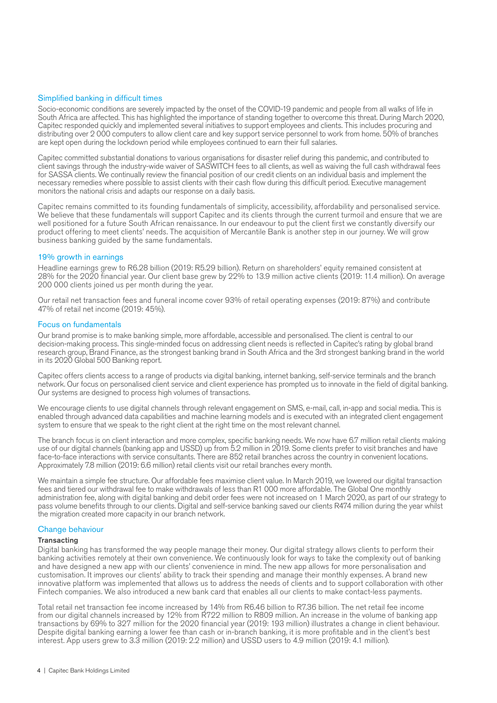#### Simplified banking in difficult times

Socio-economic conditions are severely impacted by the onset of the COVID-19 pandemic and people from all walks of life in South Africa are affected. This has highlighted the importance of standing together to overcome this threat. During March 2020, Capitec responded quickly and implemented several initiatives to support employees and clients. This includes procuring and distributing over 2000 computers to allow client care and key support service personnel to work from home. 50% of branches are kept open during the lockdown period while employees continued to earn their full salaries.

Capitec committed substantial donations to various organisations for disaster relief during this pandemic, and contributed to client savings through the industry-wide waiver of SASWITCH fees to all clients, as well as waiving the full cash withdrawal fees for SASSA clients. We continually review the financial position of our credit clients on an individual basis and implement the necessary remedies where possible to assist clients with their cash flow during this difficult period. Executive management monitors the national crisis and adapts our response on a daily basis.

Capitec remains committed to its founding fundamentals of simplicity, accessibility, affordability and personalised service. We believe that these fundamentals will support Capitec and its clients through the current turmoil and ensure that we are well positioned for a future South African renaissance. In our endeavour to put the client first we constantly diversify our product offering to meet clients' needs. The acquisition of Mercantile Bank is another step in our journey. We will grow business banking guided by the same fundamentals.

#### 19% growth in earnings

Headline earnings grew to R6.28 billion (2019: R5.29 billion). Return on shareholders' equity remained consistent at 28% for the 2020 financial year. Our client base grew by 22% to 13.9 million active clients (2019: 11.4 million). On average 200 000 clients joined us per month during the year.

Our retail net transaction fees and funeral income cover 93% of retail operating expenses (2019: 87%) and contribute 47% of retail net income (2019: 45%).

#### Focus on fundamentals

Our brand promise is to make banking simple, more affordable, accessible and personalised. The client is central to our decision-making process. This single-minded focus on addressing client needs is reflected in Capitec's rating by global brand research group, Brand Finance, as the strongest banking brand in South Africa and the 3rd strongest banking brand in the world in its 2020 Global 500 Banking report.

Capitec offers clients access to a range of products via digital banking, internet banking, self-service terminals and the branch network. Our focus on personalised client service and client experience has prompted us to innovate in the field of digital banking. Our systems are designed to process high volumes of transactions.

We encourage clients to use digital channels through relevant engagement on SMS, e-mail, call, in-app and social media. This is enabled through advanced data capabilities and machine learning models and is executed with an integrated client engagement system to ensure that we speak to the right client at the right time on the most relevant channel.

The branch focus is on client interaction and more complex, specific banking needs. We now have 6.7 million retail clients making use of our digital channels (banking app and USSD) up from 5.2 million in 2019. Some clients prefer to visit branches and have face-to-face interactions with service consultants. There are 852 retail branches across the country in convenient locations. Approximately 7.8 million (2019: 6.6 million) retail clients visit our retail branches every month.

We maintain a simple fee structure. Our affordable fees maximise client value. In March 2019, we lowered our digital transaction fees and tiered our withdrawal fee to make withdrawals of less than R1 000 more affordable. The Global One monthly administration fee, along with digital banking and debit order fees were not increased on 1 March 2020, as part of our strategy to pass volume benefits through to our clients. Digital and self-service banking saved our clients R474 million during the year whilst the migration created more capacity in our branch network.

#### Change behaviour

#### **Transacting**

Digital banking has transformed the way people manage their money. Our digital strategy allows clients to perform their banking activities remotely at their own convenience. We continuously look for ways to take the complexity out of banking and have designed a new app with our clients' convenience in mind. The new app allows for more personalisation and customisation. It improves our clients' ability to track their spending and manage their monthly expenses. A brand new innovative platform was implemented that allows us to address the needs of clients and to support collaboration with other Fintech companies. We also introduced a new bank card that enables all our clients to make contact-less payments.

Total retail net transaction fee income increased by 14% from R6.46 billion to R7.36 billion. The net retail fee income from our digital channels increased by 12% from R722 million to R809 million. An increase in the volume of banking app transactions by 69% to 327 million for the 2020 financial year (2019: 193 million) illustrates a change in client behaviour. Despite digital banking earning a lower fee than cash or in-branch banking, it is more profitable and in the client's best interest. App users grew to 3.3 million (2019: 2.2 million) and USSD users to 4.9 million (2019: 4.1 million).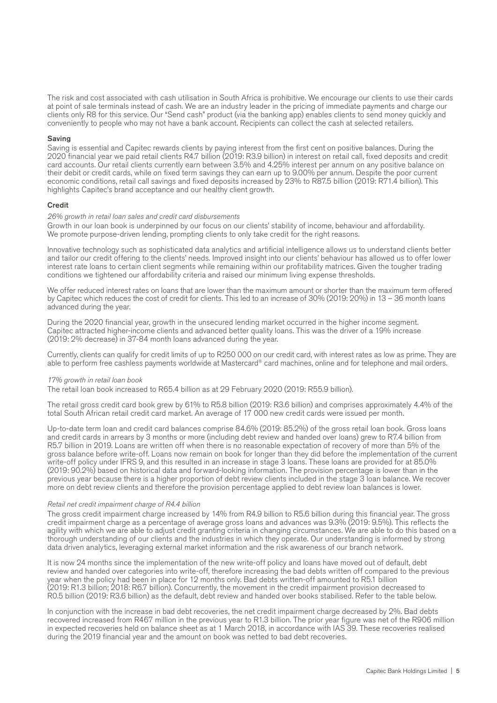The risk and cost associated with cash utilisation in South Africa is prohibitive. We encourage our clients to use their cards at point of sale terminals instead of cash. We are an industry leader in the pricing of immediate payments and charge our clients only R8 for this service. Our "Send cash" product (via the banking app) enables clients to send money quickly and conveniently to people who may not have a bank account. Recipients can collect the cash at selected retailers.

#### Saving

Saving is essential and Capitec rewards clients by paying interest from the first cent on positive balances. During the 2020 financial year we paid retail clients R4.7 billion (2019: R3.9 billion) in interest on retail call, fixed deposits and credit card accounts. Our retail clients currently earn between 3.5% and 4.25% interest per annum on any positive balance on their debit or credit cards, while on fixed term savings they can earn up to 9.00% per annum. Despite the poor current economic conditions, retail call savings and fixed deposits increased by 23% to R87.5 billion (2019: R71.4 billion). This highlights Capitec's brand acceptance and our healthy client growth.

#### **Credit**

#### *26% growth in retail loan sales and credit card disbursements*

Growth in our loan book is underpinned by our focus on our clients' stability of income, behaviour and affordability. We promote purpose-driven lending, prompting clients to only take credit for the right reasons.

Innovative technology such as sophisticated data analytics and artificial intelligence allows us to understand clients better and tailor our credit offering to the clients' needs. Improved insight into our clients' behaviour has allowed us to offer lower interest rate loans to certain client segments while remaining within our profitability matrices. Given the tougher trading conditions we tightened our affordability criteria and raised our minimum living expense thresholds.

We offer reduced interest rates on loans that are lower than the maximum amount or shorter than the maximum term offered by Capitec which reduces the cost of credit for clients. This led to an increase of 30% (2019: 20%) in 13 – 36 month loans advanced during the year.

During the 2020 financial year, growth in the unsecured lending market occurred in the higher income segment. Capitec attracted higher-income clients and advanced better quality loans. This was the driver of a 19% increase (2019: 2% decrease) in 37-84 month loans advanced during the year.

Currently, clients can qualify for credit limits of up to R250 000 on our credit card, with interest rates as low as prime. They are able to perform free cashless payments worldwide at Mastercard® card machines, online and for telephone and mail orders.

#### *17% growth in retail loan book*

The retail loan book increased to R65.4 billion as at 29 February 2020 (2019: R55.9 billion).

The retail gross credit card book grew by 61% to R5.8 billion (2019: R3.6 billion) and comprises approximately 4.4% of the total South African retail credit card market. An average of 17 000 new credit cards were issued per month.

Up-to-date term loan and credit card balances comprise 84.6% (2019: 85.2%) of the gross retail loan book. Gross loans and credit cards in arrears by 3 months or more (including debt review and handed over loans) grew to R7.4 billion from R5.7 billion in 2019. Loans are written off when there is no reasonable expectation of recovery of more than 5% of the gross balance before write-off. Loans now remain on book for longer than they did before the implementation of the current write-off policy under IFRS 9, and this resulted in an increase in stage 3 loans. These loans are provided for at 85.0% (2019: 90.2%) based on historical data and forward-looking information. The provision percentage is lower than in the previous year because there is a higher proportion of debt review clients included in the stage 3 loan balance. We recover more on debt review clients and therefore the provision percentage applied to debt review loan balances is lower.

#### *Retail net credit impairment charge of R4.4 billion*

The gross credit impairment charge increased by 14% from R4.9 billion to R5.6 billion during this financial year. The gross credit impairment charge as a percentage of average gross loans and advances was 9.3% (2019: 9.5%). This reflects the agility with which we are able to adjust credit granting criteria in changing circumstances. We are able to do this based on a thorough understanding of our clients and the industries in which they operate. Our understanding is informed by strong data driven analytics, leveraging external market information and the risk awareness of our branch network.

It is now 24 months since the implementation of the new write-off policy and loans have moved out of default, debt review and handed over categories into write-off, therefore increasing the bad debts written off compared to the previous year when the policy had been in place for 12 months only. Bad debts written-off amounted to R5.1 billion (2019: R1.3 billion; 2018: R6.7 billion). Concurrently, the movement in the credit impairment provision decreased to R0.5 billion (2019: R3.6 billion) as the default, debt review and handed over books stabilised. Refer to the table below.

In conjunction with the increase in bad debt recoveries, the net credit impairment charge decreased by 2%. Bad debts recovered increased from R467 million in the previous year to R1.3 billion. The prior year figure was net of the R906 million in expected recoveries held on balance sheet as at 1 March 2018, in accordance with IAS 39. These recoveries realised during the 2019 financial year and the amount on book was netted to bad debt recoveries.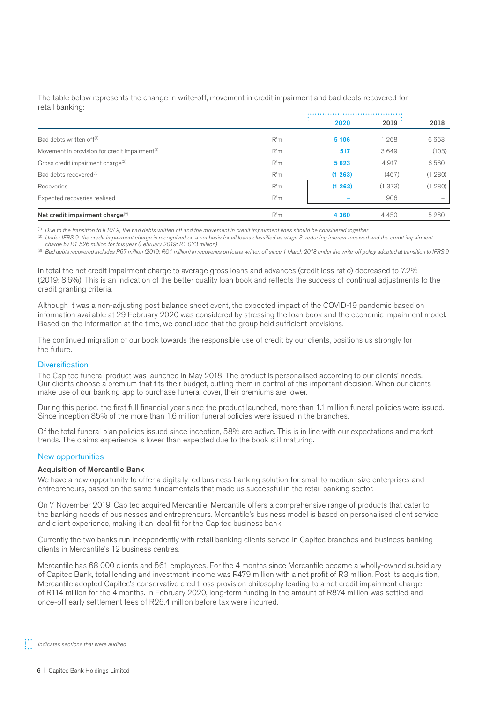The table below represents the change in write-off, movement in credit impairment and bad debts recovered for retail banking:

|                                                            |     | 2020    | 2019   | 2018    |  |
|------------------------------------------------------------|-----|---------|--------|---------|--|
| Bad debts written off <sup>(1)</sup>                       | R'm | 5 106   | 1 268  | 6663    |  |
| Movement in provision for credit impairment <sup>(1)</sup> | R'm | 517     | 3649   | (103)   |  |
| Gross credit impairment charge <sup>(2)</sup>              | R'm | 5623    | 4917   | 6560    |  |
| Bad debts recovered <sup>(3)</sup>                         | R'm | (1263)  | (467)  | (1280)  |  |
| Recoveries                                                 | R'm | (1263)  | (1373) | (1280)  |  |
| Expected recoveries realised                               | R'm |         | 906    |         |  |
| Net credit impairment charge <sup>(2)</sup>                | R'm | 4 3 6 0 | 4450   | 5 2 8 0 |  |

(1) *Due to the transition to IFRS 9, the bad debts written off and the movement in credit impairment lines should be considered together*

<sup>(2)</sup> Under IFRS 9, the credit impairment charge is recognised on a net basis for all loans classified as stage 3, reducing interest received and the credit impairment *charge by R1 526 million for this year (February 2019: R1 073 million)*

(3) *Bad debts recovered includes R67 million (2019: R6.1 million) in recoveries on loans written off since 1 March 2018 under the write-off policy adopted at transition to IFRS 9*

In total the net credit impairment charge to average gross loans and advances (credit loss ratio) decreased to 7.2% (2019: 8.6%). This is an indication of the better quality loan book and reflects the success of continual adjustments to the credit granting criteria.

Although it was a non-adjusting post balance sheet event, the expected impact of the COVID-19 pandemic based on information available at 29 February 2020 was considered by stressing the loan book and the economic impairment model. Based on the information at the time, we concluded that the group held sufficient provisions.

The continued migration of our book towards the responsible use of credit by our clients, positions us strongly for the future.

#### **Diversification**

The Capitec funeral product was launched in May 2018. The product is personalised according to our clients' needs. Our clients choose a premium that fits their budget, putting them in control of this important decision. When our clients make use of our banking app to purchase funeral cover, their premiums are lower.

During this period, the first full financial year since the product launched, more than 1.1 million funeral policies were issued. Since inception 85% of the more than 1.6 million funeral policies were issued in the branches.

Of the total funeral plan policies issued since inception, 58% are active. This is in line with our expectations and market trends. The claims experience is lower than expected due to the book still maturing.

#### New opportunities

#### Acquisition of Mercantile Bank

We have a new opportunity to offer a digitally led business banking solution for small to medium size enterprises and entrepreneurs, based on the same fundamentals that made us successful in the retail banking sector.

On 7 November 2019, Capitec acquired Mercantile. Mercantile offers a comprehensive range of products that cater to the banking needs of businesses and entrepreneurs. Mercantile's business model is based on personalised client service and client experience, making it an ideal fit for the Capitec business bank.

Currently the two banks run independently with retail banking clients served in Capitec branches and business banking clients in Mercantile's 12 business centres.

Mercantile has 68 000 clients and 561 employees. For the 4 months since Mercantile became a wholly-owned subsidiary of Capitec Bank, total lending and investment income was R479 million with a net profit of R3 million. Post its acquisition, Mercantile adopted Capitec's conservative credit loss provision philosophy leading to a net credit impairment charge of R114 million for the 4 months. In February 2020, long-term funding in the amount of R874 million was settled and once-off early settlement fees of R26.4 million before tax were incurred.

*Indicates sections that were audited*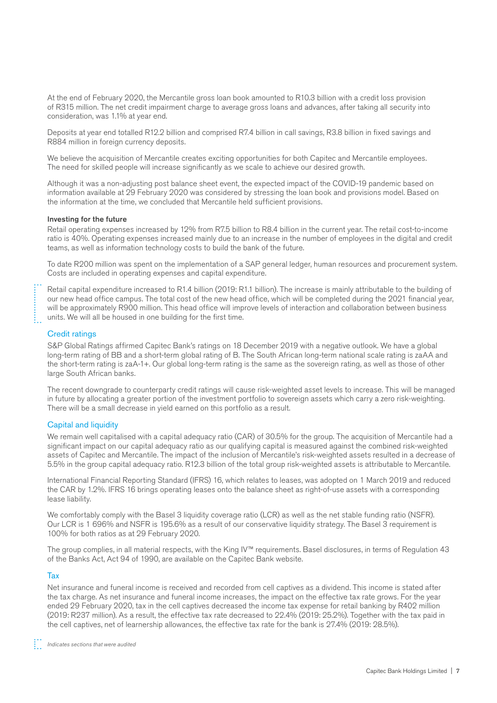At the end of February 2020, the Mercantile gross loan book amounted to R10.3 billion with a credit loss provision of R315 million. The net credit impairment charge to average gross loans and advances, after taking all security into consideration, was 1.1% at year end.

Deposits at year end totalled R12.2 billion and comprised R7.4 billion in call savings, R3.8 billion in fixed savings and R884 million in foreign currency deposits.

We believe the acquisition of Mercantile creates exciting opportunities for both Capitec and Mercantile employees. The need for skilled people will increase significantly as we scale to achieve our desired growth.

Although it was a non-adjusting post balance sheet event, the expected impact of the COVID-19 pandemic based on information available at 29 February 2020 was considered by stressing the loan book and provisions model. Based on the information at the time, we concluded that Mercantile held sufficient provisions.

#### Investing for the future

Retail operating expenses increased by 12% from R7.5 billion to R8.4 billion in the current year. The retail cost-to-income ratio is 40%. Operating expenses increased mainly due to an increase in the number of employees in the digital and credit teams, as well as information technology costs to build the bank of the future.

To date R200 million was spent on the implementation of a SAP general ledger, human resources and procurement system. Costs are included in operating expenses and capital expenditure.

Retail capital expenditure increased to R1.4 billion (2019: R1.1 billion). The increase is mainly attributable to the building of our new head office campus. The total cost of the new head office, which will be completed during the 2021 financial year, will be approximately R900 million. This head office will improve levels of interaction and collaboration between business units. We will all be housed in one building for the first time.

#### Credit ratings

S&P Global Ratings affirmed Capitec Bank's ratings on 18 December 2019 with a negative outlook. We have a global long-term rating of BB and a short-term global rating of B. The South African long-term national scale rating is zaAA and the short-term rating is zaA-1+. Our global long-term rating is the same as the sovereign rating, as well as those of other large South African banks.

The recent downgrade to counterparty credit ratings will cause risk-weighted asset levels to increase. This will be managed in future by allocating a greater portion of the investment portfolio to sovereign assets which carry a zero risk-weighting. There will be a small decrease in yield earned on this portfolio as a result.

#### Capital and liquidity

We remain well capitalised with a capital adequacy ratio (CAR) of 30.5% for the group. The acquisition of Mercantile had a significant impact on our capital adequacy ratio as our qualifying capital is measured against the combined risk-weighted assets of Capitec and Mercantile. The impact of the inclusion of Mercantile's risk-weighted assets resulted in a decrease of 5.5% in the group capital adequacy ratio. R12.3 billion of the total group risk-weighted assets is attributable to Mercantile.

International Financial Reporting Standard (IFRS) 16, which relates to leases, was adopted on 1 March 2019 and reduced the CAR by 1.2%. IFRS 16 brings operating leases onto the balance sheet as right-of-use assets with a corresponding lease liability.

We comfortably comply with the Basel 3 liquidity coverage ratio (LCR) as well as the net stable funding ratio (NSFR). Our LCR is 1 696% and NSFR is 195.6% as a result of our conservative liquidity strategy. The Basel 3 requirement is 100% for both ratios as at 29 February 2020.

The group complies, in all material respects, with the King IV™ requirements. Basel disclosures, in terms of Regulation 43 of the Banks Act, Act 94 of 1990, are available on the Capitec Bank website.

#### Tax

Net insurance and funeral income is received and recorded from cell captives as a dividend. This income is stated after the tax charge. As net insurance and funeral income increases, the impact on the effective tax rate grows. For the year ended 29 February 2020, tax in the cell captives decreased the income tax expense for retail banking by R402 million (2019: R237 million). As a result, the effective tax rate decreased to 22.4% (2019: 25.2%). Together with the tax paid in the cell captives, net of learnership allowances, the effective tax rate for the bank is 27.4% (2019: 28.5%).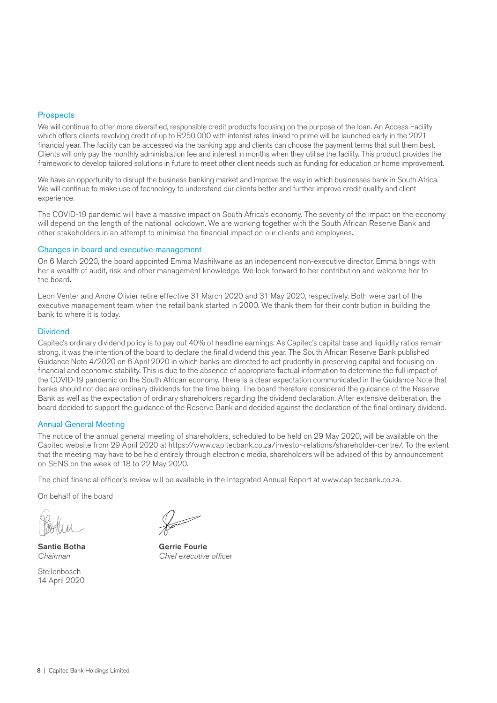#### **Prospects**

We will continue to offer more diversified, responsible credit products focusing on the purpose of the loan. An Access Facility which offers clients revolving credit of up to R250 000 with interest rates linked to prime will be launched early in the 2021 financial year. The facility can be accessed via the banking app and clients can choose the payment terms that suit them best. Clients will only pay the monthly administration fee and interest in months when they utilise the facility. This product provides the framework to develop tailored solutions in future to meet other client needs such as funding for education or home improvement.

We have an opportunity to disrupt the business banking market and improve the way in which businesses bank in South Africa. We will continue to make use of technology to understand our clients better and further improve credit quality and client experience.

The COVID-19 pandemic will have a massive impact on South Africa's economy. The severity of the impact on the economy will depend on the length of the national lockdown. We are working together with the South African Reserve Bank and other stakeholders in an attempt to minimise the financial impact on our clients and employees.

#### Changes in board and executive management

On 6 March 2020, the board appointed Emma Mashilwane as an independent non-executive director. Emma brings with her a wealth of audit, risk and other management knowledge. We look forward to her contribution and welcome her to the board.

Leon Venter and Andre Olivier retire effective 31 March 2020 and 31 May 2020, respectively. Both were part of the executive management team when the retail bank started in 2000. We thank them for their contribution in building the bank to where it is today.

#### **Dividend**

Capitec's ordinary dividend policy is to pay out 40% of headline earnings. As Capitec's capital base and liquidity ratios remain strong, it was the intention of the board to declare the final dividend this year. The South African Reserve Bank published Guidance Note 4/2020 on 6 April 2020 in which banks are directed to act prudently in preserving capital and focusing on financial and economic stability. This is due to the absence of appropriate factual information to determine the full impact of the COVID-19 pandemic on the South African economy. There is a clear expectation communicated in the Guidance Note that banks should not declare ordinary dividends for the time being. The board therefore considered the guidance of the Reserve Bank as well as the expectation of ordinary shareholders regarding the dividend declaration. After extensive deliberation, the board decided to support the guidance of the Reserve Bank and decided against the declaration of the final ordinary dividend.

#### Annual General Meeting

The notice of the annual general meeting of shareholders, scheduled to be held on 29 May 2020, will be available on the Capitec website from 29 April 2020 at https://www.capitecbank.co.za/investor-relations/shareholder-centre/. To the extent that the meeting may have to be held entirely through electronic media, shareholders will be advised of this by announcement on SENS on the week of 18 to 22 May 2020.

The chief financial officer's review will be available in the Integrated Annual Report at www.capitecbank.co.za.

On behalf of the board

**Stellenbosch** 14 April 2020

Santie Botha<br>
Gerrie Fourie *Chairman Chief executive officer*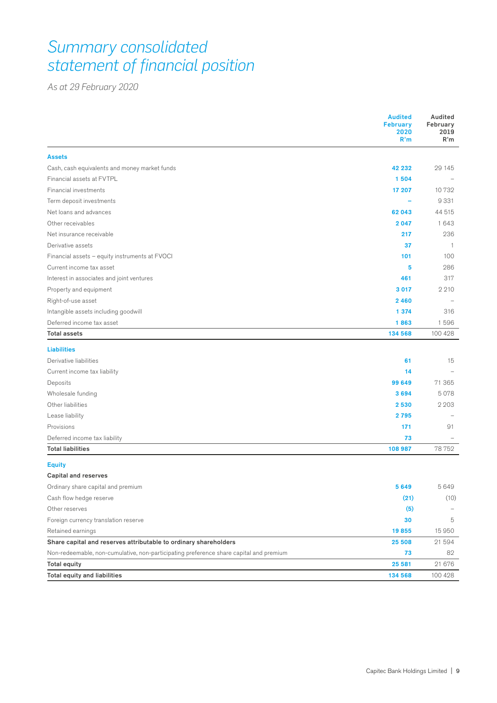# *Summary consolidated statement of financial position*

*As at 29 February 2020*

|                                                                                        | <b>Audited</b><br><b>February</b><br>2020<br>R'm | Audited<br>February<br>2019<br>R'm |
|----------------------------------------------------------------------------------------|--------------------------------------------------|------------------------------------|
| <b>Assets</b>                                                                          |                                                  |                                    |
| Cash, cash equivalents and money market funds                                          | 42 232                                           | 29 145                             |
| Financial assets at FVTPL                                                              | 1504                                             |                                    |
| Financial investments                                                                  | 17 207                                           | 10732                              |
| Term deposit investments                                                               |                                                  | 9331                               |
| Net loans and advances                                                                 | 62043                                            | 44 515                             |
| Other receivables                                                                      | 2047                                             | 1643                               |
| Net insurance receivable                                                               | 217                                              | 236                                |
| Derivative assets                                                                      | 37                                               | $\overline{1}$                     |
| Financial assets - equity instruments at FVOCI                                         | 101                                              | 100                                |
| Current income tax asset                                                               | 5                                                | 286                                |
| Interest in associates and joint ventures                                              | 461                                              | 317                                |
| Property and equipment                                                                 | 3017                                             | 2 2 1 0                            |
| Right-of-use asset                                                                     | 2460                                             |                                    |
| Intangible assets including goodwill                                                   | 1 374                                            | 316                                |
| Deferred income tax asset                                                              | 1863                                             | 1596                               |
| <b>Total assets</b>                                                                    | 134 568                                          | 100 428                            |
| <b>Liabilities</b>                                                                     |                                                  |                                    |
| Derivative liabilities                                                                 | 61                                               | 15                                 |
| Current income tax liability                                                           | 14                                               |                                    |
| Deposits                                                                               | 99 649                                           | 71 365                             |
| Wholesale funding                                                                      | 3694                                             | 5078                               |
| Other liabilities                                                                      | 2530                                             | 2 2 0 3                            |
| Lease liability                                                                        | 2795                                             |                                    |
| Provisions                                                                             | 171                                              | 91                                 |
| Deferred income tax liability                                                          | 73                                               |                                    |
| <b>Total liabilities</b>                                                               | 108 987                                          | 78752                              |
| <b>Equity</b>                                                                          |                                                  |                                    |
| <b>Capital and reserves</b>                                                            |                                                  |                                    |
| Ordinary share capital and premium                                                     | 5649                                             | 5649                               |
| Cash flow hedge reserve                                                                | (21)                                             | (10)                               |
| Other reserves                                                                         | (5)                                              |                                    |
| Foreign currency translation reserve                                                   | 30                                               | 5                                  |
| Retained earnings                                                                      | 19855                                            | 15 950                             |
| Share capital and reserves attributable to ordinary shareholders                       | 25 508                                           | 21 594                             |
| Non-redeemable, non-cumulative, non-participating preference share capital and premium | 73                                               | 82                                 |
| <b>Total equity</b>                                                                    | 25 5 81                                          | 21 676                             |
| <b>Total equity and liabilities</b>                                                    | 134 568                                          | 100 428                            |
|                                                                                        |                                                  |                                    |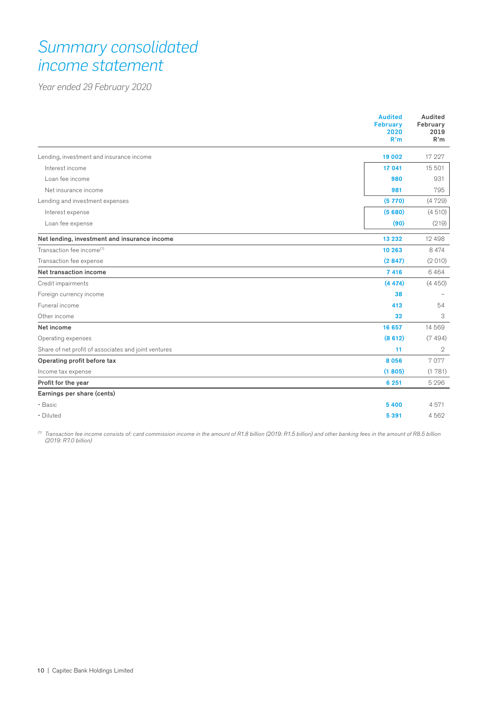# *Summary consolidated income statement*

*Year ended 29 February 2020*

|                                                      | <b>Audited</b><br><b>February</b><br>2020<br>R'm | Audited<br>February<br>2019<br>R'm |
|------------------------------------------------------|--------------------------------------------------|------------------------------------|
| Lending, investment and insurance income             | 19 002                                           | 17 227                             |
| Interest income                                      | 17 041                                           | 15 501                             |
| Loan fee income                                      | 980                                              | 931                                |
| Net insurance income                                 | 981                                              | 795                                |
| Lending and investment expenses                      | (5770)                                           | (4729)                             |
| Interest expense                                     | (5680)                                           | (4510)                             |
| Loan fee expense                                     | (90)                                             | (219)                              |
| Net lending, investment and insurance income         | 13 2 3 2                                         | 12 4 9 8                           |
| Transaction fee income <sup>(1)</sup>                | 10 263                                           | 8 4 7 4                            |
| Transaction fee expense                              | (2847)                                           | (2010)                             |
| Net transaction income                               | 7416                                             | 6464                               |
| Credit impairments                                   | (4474)                                           | (4450)                             |
| Foreign currency income                              | 38                                               |                                    |
| Funeral income                                       | 413                                              | 54                                 |
| Other income                                         | 32                                               | 3                                  |
| Net income                                           | 16 657                                           | 14 5 6 9                           |
| Operating expenses                                   | (8612)                                           | (7494)                             |
| Share of net profit of associates and joint ventures | 11                                               | $\mathbf{2}$                       |
| Operating profit before tax                          | 8056                                             | 7077                               |
| Income tax expense                                   | (1805)                                           | (1781)                             |
| Profit for the year                                  | 6 2 5 1                                          | 5 2 9 6                            |
| Earnings per share (cents)                           |                                                  |                                    |
| • Basic                                              | 5400                                             | 4571                               |
| Diluted                                              | 5 3 9 1                                          | 4562                               |

*(1) Transaction fee income consists of: card commission income in the amount of R1.8 billion (2019: R1.5 billion) and other banking fees in the amount of R8.5 billion (2019: R7.0 billion)*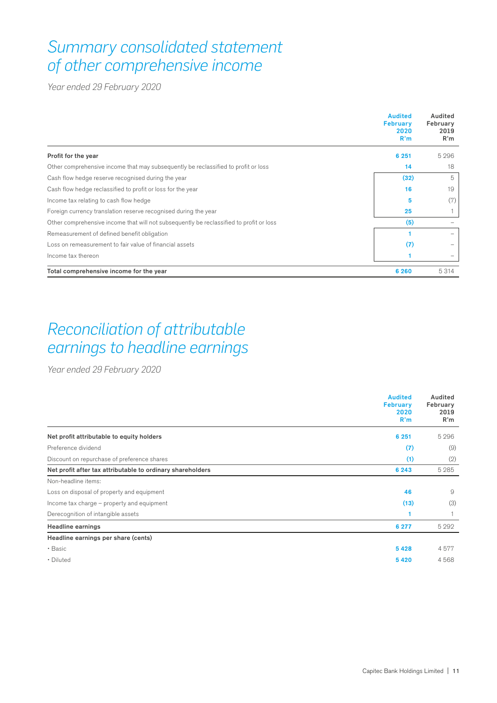# *Summary consolidated statement of other comprehensive income*

*Year ended 29 February 2020*

|                                                                                         | <b>Audited</b><br><b>February</b><br>2020<br>R'm | Audited<br>February<br>2019<br>R'm |
|-----------------------------------------------------------------------------------------|--------------------------------------------------|------------------------------------|
| Profit for the year                                                                     | 6 2 5 1                                          | 5 2 9 6                            |
| Other comprehensive income that may subsequently be reclassified to profit or loss      | 14                                               | 18                                 |
| Cash flow hedge reserve recognised during the year                                      | (32)                                             | 5                                  |
| Cash flow hedge reclassified to profit or loss for the year                             | 16                                               | 19                                 |
| Income tax relating to cash flow hedge                                                  | 5                                                | (7)                                |
| Foreign currency translation reserve recognised during the year                         | 25                                               |                                    |
| Other comprehensive income that will not subsequently be reclassified to profit or loss | (5)                                              |                                    |
| Remeasurement of defined benefit obligation                                             |                                                  |                                    |
| Loss on remeasurement to fair value of financial assets                                 | (7)                                              |                                    |
| Income tax thereon                                                                      |                                                  |                                    |
| Total comprehensive income for the year                                                 | 6 2 6 0                                          | 5 3 1 4                            |

# *Reconciliation of attributable earnings to headline earnings*

*Year ended 29 February 2020*

|                                                            | <b>Audited</b><br><b>February</b><br>2020<br>R'm | Audited<br>February<br>2019<br>R'm |
|------------------------------------------------------------|--------------------------------------------------|------------------------------------|
| Net profit attributable to equity holders                  | 6 2 5 1                                          | 5 2 9 6                            |
| Preference dividend                                        | (7)                                              | (9)                                |
| Discount on repurchase of preference shares                | (1)                                              | (2)                                |
| Net profit after tax attributable to ordinary shareholders | 6 2 4 3                                          | 5 2 8 5                            |
| Non-headline items:                                        |                                                  |                                    |
| Loss on disposal of property and equipment                 | 46                                               | 9                                  |
| Income tax charge – property and equipment                 | (13)                                             | (3)                                |
| Derecognition of intangible assets                         | 1                                                |                                    |
| <b>Headline earnings</b>                                   | 6 277                                            | 5 2 9 2                            |
| Headline earnings per share (cents)                        |                                                  |                                    |
| • Basic                                                    | 5428                                             | 4577                               |
| • Diluted                                                  | 5420                                             | 4568                               |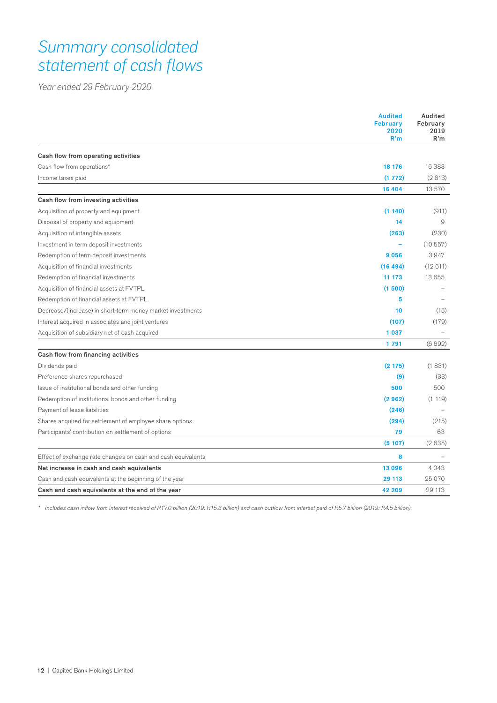# *Summary consolidated statement of cash flows*

*Year ended 29 February 2020*

|                                                              | <b>Audited</b><br><b>February</b><br>2020<br>R'm | Audited<br>February<br>2019<br>R'm |
|--------------------------------------------------------------|--------------------------------------------------|------------------------------------|
| Cash flow from operating activities                          |                                                  |                                    |
| Cash flow from operations*                                   | 18 176                                           | 16 383                             |
| Income taxes paid                                            | (1772)                                           | (2813)                             |
|                                                              | 16 404                                           | 13570                              |
| Cash flow from investing activities                          |                                                  |                                    |
| Acquisition of property and equipment                        | (1140)                                           | (911)                              |
| Disposal of property and equipment                           | 14                                               | 9                                  |
| Acquisition of intangible assets                             | (263)                                            | (230)                              |
| Investment in term deposit investments                       |                                                  | (10557)                            |
| Redemption of term deposit investments                       | 9056                                             | 3947                               |
| Acquisition of financial investments                         | (16 494)                                         | (12611)                            |
| Redemption of financial investments                          | 11 173                                           | 13 655                             |
| Acquisition of financial assets at FVTPL                     | (1, 500)                                         |                                    |
| Redemption of financial assets at FVTPL                      | 5                                                |                                    |
| Decrease/(increase) in short-term money market investments   | 10                                               | (15)                               |
| Interest acquired in associates and joint ventures           | (107)                                            | (179)                              |
| Acquisition of subsidiary net of cash acquired               | 1 0 3 7                                          |                                    |
|                                                              | 1791                                             | (6892)                             |
| Cash flow from financing activities                          |                                                  |                                    |
| Dividends paid                                               | (2175)                                           | (1831)                             |
| Preference shares repurchased                                | (9)                                              | (33)                               |
| Issue of institutional bonds and other funding               | 500                                              | 500                                |
| Redemption of institutional bonds and other funding          | (2962)                                           | (1119)                             |
| Payment of lease liabilities                                 | (246)                                            |                                    |
| Shares acquired for settlement of employee share options     | (294)                                            | (215)                              |
| Participants' contribution on settlement of options          | 79                                               | 63                                 |
|                                                              | (5107)                                           | (2635)                             |
| Effect of exchange rate changes on cash and cash equivalents | 8                                                |                                    |
| Net increase in cash and cash equivalents                    | 13 096                                           | 4043                               |
| Cash and cash equivalents at the beginning of the year       | 29 113                                           | 25 070                             |
| Cash and cash equivalents at the end of the year             | 42 209                                           | 29 113                             |

*\* Includes cash inflow from interest received of R17.0 billion (2019: R15.3 billion) and cash outflow from interest paid of R5.7 billion (2019: R4.5 billion)*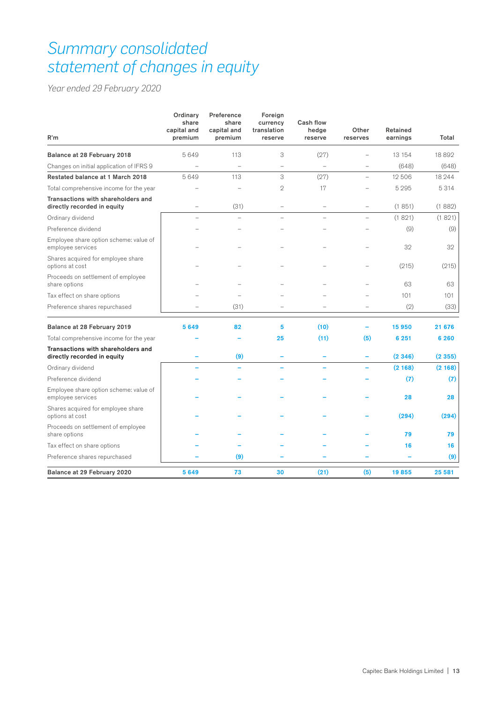# *Summary consolidated statement of changes in equity*

*Year ended 29 February 2020*

| R'm                                                               | Ordinary<br>share<br>capital and<br>premium | Preference<br>share<br>capital and<br>premium | Foreign<br>currency<br>translation<br>reserve | Cash flow<br>hedge<br>reserve | Other<br>reserves        | Retained<br>earnings | Total   |
|-------------------------------------------------------------------|---------------------------------------------|-----------------------------------------------|-----------------------------------------------|-------------------------------|--------------------------|----------------------|---------|
| Balance at 28 February 2018                                       | 5649                                        | 113                                           | 3                                             | (27)                          |                          | 13 154               | 18892   |
| Changes on initial application of IFRS 9                          |                                             |                                               |                                               |                               |                          | (648)                | (648)   |
| Restated balance at 1 March 2018                                  | 5649                                        | 113                                           | 3                                             | (27)                          | $\overline{\phantom{0}}$ | 12 506               | 18 244  |
| Total comprehensive income for the year                           |                                             |                                               | $\overline{2}$                                | 17                            |                          | 5 2 9 5              | 5 3 1 4 |
| Transactions with shareholders and<br>directly recorded in equity | $\overline{a}$                              | (31)                                          | $\overline{a}$                                | $\overline{\phantom{0}}$      | $\overline{\phantom{a}}$ | (1851)               | (1882)  |
| Ordinary dividend                                                 | L.                                          |                                               |                                               | L.                            |                          | (1821)               | (1821)  |
| Preference dividend                                               |                                             |                                               |                                               |                               |                          | (9)                  | (9)     |
| Employee share option scheme: value of<br>employee services       |                                             |                                               |                                               |                               |                          | 32                   | 32      |
| Shares acquired for employee share<br>options at cost             |                                             |                                               |                                               |                               |                          | (215)                | (215)   |
| Proceeds on settlement of employee<br>share options               |                                             |                                               |                                               |                               |                          | 63                   | 63      |
| Tax effect on share options                                       |                                             |                                               |                                               |                               |                          | 101                  | 101     |
| Preference shares repurchased                                     |                                             | (31)                                          |                                               |                               |                          | (2)                  | (33)    |
| Balance at 28 February 2019                                       | 5649                                        | 82                                            | 5                                             | (10)                          |                          | 15950                | 21 676  |
| Total comprehensive income for the year                           |                                             |                                               | 25                                            | (11)                          | (5)                      | 6 251                | 6 2 6 0 |
| Transactions with shareholders and<br>directly recorded in equity |                                             | (9)                                           | ۳                                             | ۳                             |                          | (2346)               | (2355)  |
| Ordinary dividend                                                 |                                             |                                               |                                               |                               | L,                       | (2168)               | (2168)  |
| Preference dividend                                               |                                             |                                               |                                               |                               |                          | (7)                  | (7)     |
| Employee share option scheme: value of<br>employee services       |                                             |                                               |                                               |                               |                          | 28                   | 28      |
| Shares acquired for employee share<br>options at cost             |                                             |                                               |                                               |                               |                          | (294)                | (294)   |
| Proceeds on settlement of employee<br>share options               |                                             |                                               |                                               |                               |                          | 79                   | 79      |
| Tax effect on share options                                       |                                             |                                               |                                               |                               |                          | 16                   | 16      |
| Preference shares repurchased                                     |                                             | (9)                                           |                                               |                               |                          |                      | (9)     |
| Balance at 29 February 2020                                       | 5649                                        | 73                                            | 30                                            | (21)                          | (5)                      | 19855                | 25 581  |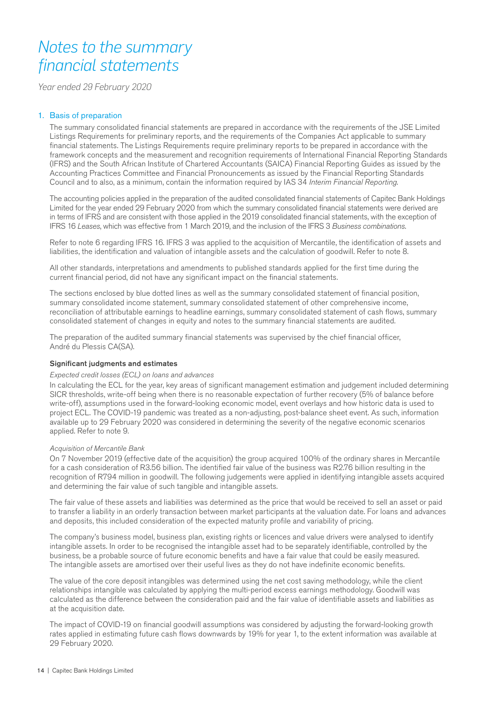# *Notes to the summary financial statements*

*Year ended 29 February 2020*

### 1. Basis of preparation

The summary consolidated financial statements are prepared in accordance with the requirements of the JSE Limited Listings Requirements for preliminary reports, and the requirements of the Companies Act applicable to summary financial statements. The Listings Requirements require preliminary reports to be prepared in accordance with the framework concepts and the measurement and recognition requirements of International Financial Reporting Standards (IFRS) and the South African Institute of Chartered Accountants (SAICA) Financial Reporting Guides as issued by the Accounting Practices Committee and Financial Pronouncements as issued by the Financial Reporting Standards Council and to also, as a minimum, contain the information required by IAS 34 *Interim Financial Reporting*.

The accounting policies applied in the preparation of the audited consolidated financial statements of Capitec Bank Holdings Limited for the year ended 29 February 2020 from which the summary consolidated financial statements were derived are in terms of IFRS and are consistent with those applied in the 2019 consolidated financial statements, with the exception of IFRS 16 *Leases*, which was effective from 1 March 2019, and the inclusion of the IFRS 3 *Business combinations*.

Refer to note 6 regarding IFRS 16. IFRS 3 was applied to the acquisition of Mercantile, the identification of assets and liabilities, the identification and valuation of intangible assets and the calculation of goodwill. Refer to note 8.

All other standards, interpretations and amendments to published standards applied for the first time during the current financial period, did not have any significant impact on the financial statements.

The sections enclosed by blue dotted lines as well as the summary consolidated statement of financial position, summary consolidated income statement, summary consolidated statement of other comprehensive income, reconciliation of attributable earnings to headline earnings, summary consolidated statement of cash flows, summary consolidated statement of changes in equity and notes to the summary financial statements are audited.

The preparation of the audited summary financial statements was supervised by the chief financial officer, André du Plessis CA(SA).

#### Significant judgments and estimates

#### *Expected credit losses (ECL) on loans and advances*

In calculating the ECL for the year, key areas of significant management estimation and judgement included determining SICR thresholds, write-off being when there is no reasonable expectation of further recovery (5% of balance before write-off), assumptions used in the forward-looking economic model, event overlays and how historic data is used to project ECL. The COVID-19 pandemic was treated as a non-adjusting, post-balance sheet event. As such, information available up to 29 February 2020 was considered in determining the severity of the negative economic scenarios applied. Refer to note 9.

#### *Acquisition of Mercantile Bank*

On 7 November 2019 (effective date of the acquisition) the group acquired 100% of the ordinary shares in Mercantile for a cash consideration of R3.56 billion. The identified fair value of the business was R2.76 billion resulting in the recognition of R794 million in goodwill. The following judgements were applied in identifying intangible assets acquired and determining the fair value of such tangible and intangible assets.

The fair value of these assets and liabilities was determined as the price that would be received to sell an asset or paid to transfer a liability in an orderly transaction between market participants at the valuation date. For loans and advances and deposits, this included consideration of the expected maturity profile and variability of pricing.

The company's business model, business plan, existing rights or licences and value drivers were analysed to identify intangible assets. In order to be recognised the intangible asset had to be separately identifiable, controlled by the business, be a probable source of future economic benefits and have a fair value that could be easily measured. The intangible assets are amortised over their useful lives as they do not have indefinite economic benefits.

The value of the core deposit intangibles was determined using the net cost saving methodology, while the client relationships intangible was calculated by applying the multi-period excess earnings methodology. Goodwill was calculated as the difference between the consideration paid and the fair value of identifiable assets and liabilities as at the acquisition date.

The impact of COVID-19 on financial goodwill assumptions was considered by adjusting the forward-looking growth rates applied in estimating future cash flows downwards by 19% for year 1, to the extent information was available at 29 February 2020.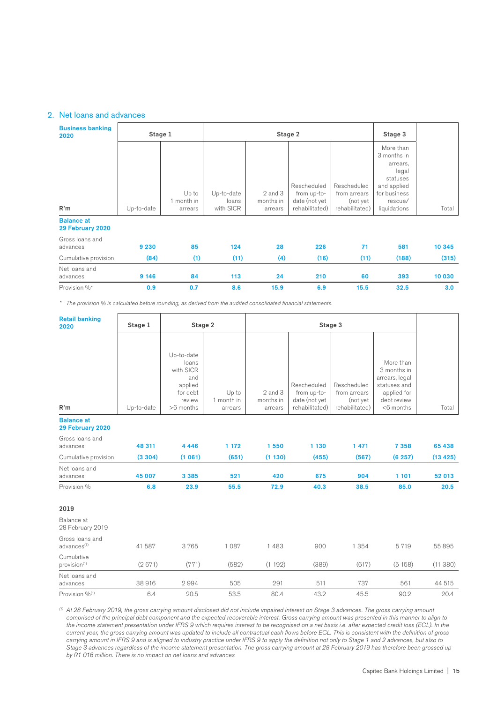### 2. Net loans and advances

| <b>Business banking</b><br>2020       | Stage 1    |                              |                                  | Stage 2                             | Stage 3                                                       |                                                           |                                                                                                                     |        |
|---------------------------------------|------------|------------------------------|----------------------------------|-------------------------------------|---------------------------------------------------------------|-----------------------------------------------------------|---------------------------------------------------------------------------------------------------------------------|--------|
| R'm                                   | Up-to-date | Up to<br>month in<br>arrears | Up-to-date<br>loans<br>with SICR | $2$ and $3$<br>months in<br>arrears | Rescheduled<br>from up-to-<br>date (not yet<br>rehabilitated) | Rescheduled<br>from arrears<br>(not yet<br>rehabilitated) | More than<br>3 months in<br>arrears,<br>legal<br>statuses<br>and applied<br>for business<br>rescue/<br>liquidations | Total  |
| <b>Balance at</b><br>29 February 2020 |            |                              |                                  |                                     |                                                               |                                                           |                                                                                                                     |        |
| Gross loans and<br>advances           | 9 2 3 0    | 85                           | 124                              | 28                                  | 226                                                           | 71                                                        | 581                                                                                                                 | 10 345 |
| Cumulative provision                  | (84)       | (1)                          | (11)                             | (4)                                 | (16)                                                          | (11)                                                      | (188)                                                                                                               | (315)  |
| Net loans and<br>advances             | 9 1 4 6    | 84                           | 113                              | 24                                  | 210                                                           | 60                                                        | 393                                                                                                                 | 10 030 |
| Provision %*                          | 0.9        | 0.7                          | 8.6                              | 15.9                                | 6.9                                                           | 15.5                                                      | 32.5                                                                                                                | 3.0    |

*\* The provision % is calculated before rounding, as derived from the audited consolidated financial statements.*

| <b>Retail banking</b><br>2020              | Stage 1<br>Stage 2 |                                                                                       |                                |                                 |                                                               |                                                           |                                                                                                          |          |
|--------------------------------------------|--------------------|---------------------------------------------------------------------------------------|--------------------------------|---------------------------------|---------------------------------------------------------------|-----------------------------------------------------------|----------------------------------------------------------------------------------------------------------|----------|
| R'm                                        | Up-to-date         | Up-to-date<br>loans<br>with SICR<br>and<br>applied<br>for debt<br>review<br>>6 months | Up to<br>1 month in<br>arrears | 2 and 3<br>months in<br>arrears | Rescheduled<br>from up-to-<br>date (not yet<br>rehabilitated) | Rescheduled<br>from arrears<br>(not yet<br>rehabilitated) | More than<br>3 months in<br>arrears, legal<br>statuses and<br>applied for<br>debt review<br>$<$ 6 months | Total    |
| <b>Balance at</b><br>29 February 2020      |                    |                                                                                       |                                |                                 |                                                               |                                                           |                                                                                                          |          |
| Gross loans and<br>advances                | 48 311             | 4 4 4 6                                                                               | 1 172                          | 1550                            | 1 130                                                         | 1 4 7 1                                                   | 7 3 5 8                                                                                                  | 65 438   |
| Cumulative provision                       | (3304)             | (1061)                                                                                | (651)                          | (1130)                          | (455)                                                         | (567)                                                     | (6257)                                                                                                   | (13 425) |
| Net loans and<br>advances                  | 45 007             | 3 3 8 5                                                                               | 521                            | 420                             | 675                                                           | 904                                                       | 1 101                                                                                                    | 52 013   |
| Provision %                                | 6.8                | 23.9                                                                                  | 55.5                           | 72.9                            | 40.3                                                          | 38.5                                                      | 85.0                                                                                                     | 20.5     |
| 2019                                       |                    |                                                                                       |                                |                                 |                                                               |                                                           |                                                                                                          |          |
| Balance at<br>28 February 2019             |                    |                                                                                       |                                |                                 |                                                               |                                                           |                                                                                                          |          |
| Gross loans and<br>advances <sup>(1)</sup> | 41 587             | 3765                                                                                  | 1 0 8 7                        | 1483                            | 900                                                           | 1 3 5 4                                                   | 5719                                                                                                     | 55 895   |
| Cumulative<br>provision <sup>(1)</sup>     | (2671)             | (771)                                                                                 | (582)                          | (1192)                          | (389)                                                         | (617)                                                     | (5158)                                                                                                   | (11380)  |
| Net loans and<br>advances                  | 38916              | 2994                                                                                  | 505                            | 291                             | 511                                                           | 737                                                       | 561                                                                                                      | 44 515   |
| Provision % <sup>(1)</sup>                 | 6.4                | 20.5                                                                                  | 53.5                           | 80.4                            | 43.2                                                          | 45.5                                                      | 90.2                                                                                                     | 20.4     |

*(1) At 28 February 2019, the gross carrying amount disclosed did not include impaired interest on Stage 3 advances. The gross carrying amount comprised of the principal debt component and the expected recoverable interest. Gross carrying amount was presented in this manner to align to the income statement presentation under IFRS 9 which requires interest to be recognised on a net basis i.e. after expected credit loss (ECL). In the current year, the gross carrying amount was updated to include all contractual cash flows before ECL. This is consistent with the definition of gross carrying amount in IFRS 9 and is aligned to industry practice under IFRS 9 to apply the definition not only to Stage 1 and 2 advances, but also to Stage 3 advances regardless of the income statement presentation. The gross carrying amount at 28 February 2019 has therefore been grossed up by R1 016 million. There is no impact on net loans and advances*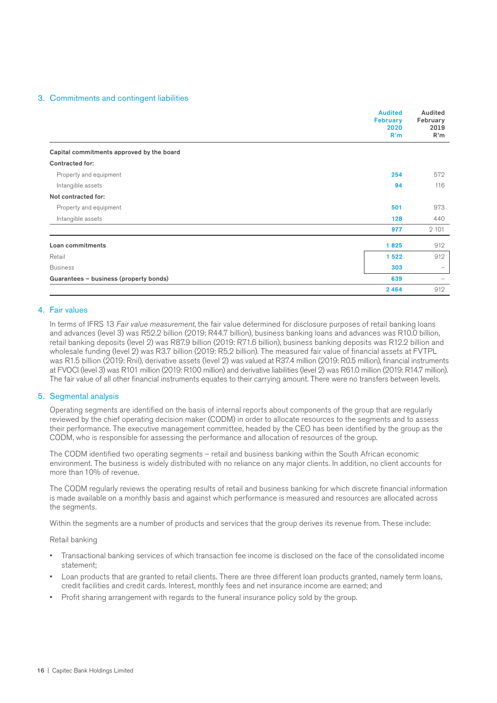#### 3. Commitments and contingent liabilities

|                                           | <b>Audited</b><br><b>February</b><br>2020<br>R'm | Audited<br>February<br>2019<br>R'm |
|-------------------------------------------|--------------------------------------------------|------------------------------------|
| Capital commitments approved by the board |                                                  |                                    |
| Contracted for:                           |                                                  |                                    |
| Property and equipment                    | 254                                              | 572                                |
| Intangible assets                         | 94                                               | 116                                |
| Not contracted for:                       |                                                  |                                    |
| Property and equipment                    | 501                                              | 973                                |
| Intangible assets                         | 128                                              | 440                                |
|                                           | 977                                              | 2 1 0 1                            |
| Loan commitments                          | 1825                                             | 912                                |
| Retail                                    | 1522                                             | 912                                |
| <b>Business</b>                           | 303                                              | $-$                                |
| Guarantees - business (property bonds)    | 639                                              |                                    |
|                                           | 2464                                             | 912                                |

#### 4. Fair values

In terms of IFRS 13 *Fair value measurement*, the fair value determined for disclosure purposes of retail banking loans and advances (level 3) was R52.2 billion (2019: R44.7 billion), business banking loans and advances was R10.0 billion, retail banking deposits (level 2) was R87.9 billion (2019: R71.6 billion), business banking deposits was R12.2 billion and wholesale funding (level 2) was R3.7 billion (2019: R5.2 billion). The measured fair value of financial assets at FVTPL was R1.5 billion (2019: Rnil), derivative assets (level 2) was valued at R37.4 million (2019: R0.5 million), financial instruments at FVOCI (level 3) was R101 million (2019: R100 million) and derivative liabilities (level 2) was R61.0 million (2019: R14.7 million). The fair value of all other financial instruments equates to their carrying amount. There were no transfers between levels.

#### 5. Segmental analysis

Operating segments are identified on the basis of internal reports about components of the group that are regularly reviewed by the chief operating decision maker (CODM) in order to allocate resources to the segments and to assess their performance. The executive management committee, headed by the CEO has been identified by the group as the CODM, who is responsible for assessing the performance and allocation of resources of the group.

The CODM identified two operating segments – retail and business banking within the South African economic environment. The business is widely distributed with no reliance on any major clients. In addition, no client accounts for more than 10% of revenue.

The CODM regularly reviews the operating results of retail and business banking for which discrete financial information is made available on a monthly basis and against which performance is measured and resources are allocated across the segments.

Within the segments are a number of products and services that the group derives its revenue from. These include:

Retail banking

- Transactional banking services of which transaction fee income is disclosed on the face of the consolidated income statement;
- Loan products that are granted to retail clients. There are three different loan products granted, namely term loans, credit facilities and credit cards. Interest, monthly fees and net insurance income are earned; and
- Profit sharing arrangement with regards to the funeral insurance policy sold by the group.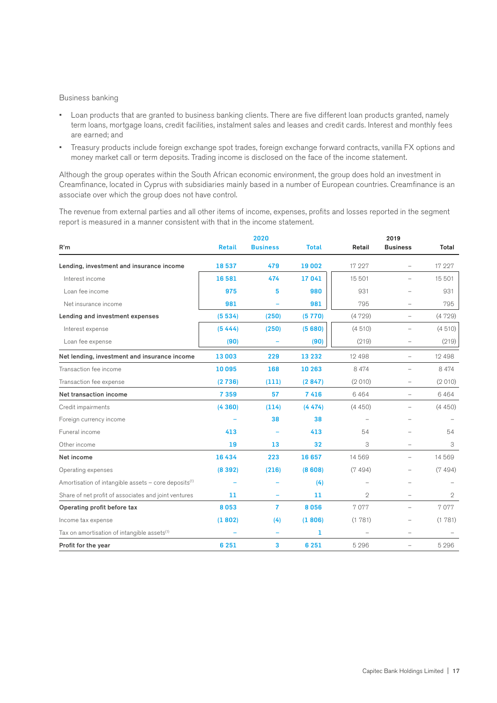#### Business banking

- Loan products that are granted to business banking clients. There are five different loan products granted, namely term loans, mortgage loans, credit facilities, instalment sales and leases and credit cards. Interest and monthly fees are earned; and
- Treasury products include foreign exchange spot trades, foreign exchange forward contracts, vanilla FX options and money market call or term deposits. Trading income is disclosed on the face of the income statement.

Although the group operates within the South African economic environment, the group does hold an investment in Creamfinance, located in Cyprus with subsidiaries mainly based in a number of European countries. Creamfinance is an associate over which the group does not have control.

The revenue from external parties and all other items of income, expenses, profits and losses reported in the segment report is measured in a manner consistent with that in the income statement.

|                                                                  |               | 2020            |              |                | 2019                     |              |
|------------------------------------------------------------------|---------------|-----------------|--------------|----------------|--------------------------|--------------|
| R'm                                                              | <b>Retail</b> | <b>Business</b> | <b>Total</b> | Retail         | <b>Business</b>          | Total        |
| Lending, investment and insurance income                         | 18537         | 479             | 19 002       | 17 227         |                          | 17 227       |
| Interest income                                                  | 16581         | 474             | 17041        | 15 501         |                          | 15 501       |
| Loan fee income                                                  | 975           | 5               | 980          | 931            |                          | 931          |
| Net insurance income                                             | 981           | ÷               | 981          | 795            | $\overline{\phantom{a}}$ | 795          |
| Lending and investment expenses                                  | (5534)        | (250)           | (5770)       | (4729)         | $\qquad \qquad -$        | (4729)       |
| Interest expense                                                 | (5444)        | (250)           | (5680)       | (4510)         | $\overline{\phantom{0}}$ | (4510)       |
| Loan fee expense                                                 | (90)          |                 | (90)         | (219)          | $\overline{\phantom{0}}$ | (219)        |
| Net lending, investment and insurance income                     | 13 003        | 229             | 13 2 32      | 12 4 9 8       | $\overline{\phantom{a}}$ | 12 4 9 8     |
| Transaction fee income                                           | 10 095        | 168             | 10 263       | 8 4 7 4        | $\overline{\phantom{a}}$ | 8 4 7 4      |
| Transaction fee expense                                          | (2736)        | (111)           | (2847)       | (2010)         |                          | (2010)       |
| Net transaction income                                           | 7 3 5 9       | 57              | 7416         | 6464           |                          | 6464         |
| Credit impairments                                               | (4360)        | (114)           | (4474)       | (4450)         | $\overline{a}$           | (4450)       |
| Foreign currency income                                          |               | 38              | 38           |                |                          |              |
| Funeral income                                                   | 413           |                 | 413          | 54             |                          | 54           |
| Other income                                                     | 19            | 13              | 32           | 3              |                          | 3            |
| Net income                                                       | 16434         | 223             | 16 657       | 14 5 6 9       | $\overline{\phantom{a}}$ | 14 5 6 9     |
| Operating expenses                                               | (8392)        | (216)           | (8608)       | (7494)         | $\overline{\phantom{0}}$ | (7494)       |
| Amortisation of intangible assets - core deposits <sup>(1)</sup> |               |                 | (4)          |                | $\overline{\phantom{a}}$ |              |
| Share of net profit of associates and joint ventures             | 11            |                 | 11           | $\mathbf{2}$   |                          | $\mathbf{2}$ |
| Operating profit before tax                                      | 8053          | $\overline{7}$  | 8056         | 7077           | $\overline{\phantom{0}}$ | 7077         |
| Income tax expense                                               | (1802)        | (4)             | (1806)       | (1781)         |                          | (1781)       |
| Tax on amortisation of intangible assets <sup>(1)</sup>          |               |                 | 1            | $\overline{a}$ | $\overline{\phantom{0}}$ |              |
| Profit for the year                                              | 6 2 5 1       | 3               | 6 2 5 1      | 5 2 9 6        | $\overline{\phantom{0}}$ | 5 2 9 6      |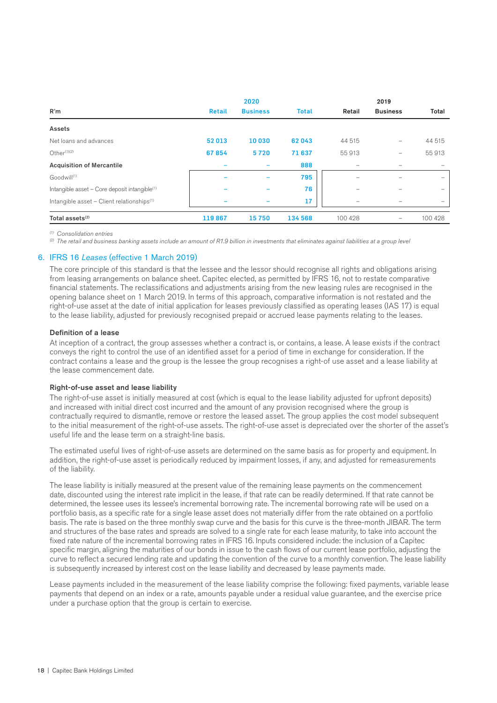|                                                           |        | 2020            |              |                          | 2019              |                          |
|-----------------------------------------------------------|--------|-----------------|--------------|--------------------------|-------------------|--------------------------|
| R'm                                                       | Retail | <b>Business</b> | <b>Total</b> | Retail                   | <b>Business</b>   | Total                    |
| Assets                                                    |        |                 |              |                          |                   |                          |
| Net loans and advances                                    | 52013  | 10030           | 62043        | 44 515                   | -                 | 44 515                   |
| Other $(1)(2)$                                            | 67854  | 5720            | 71 637       | 55 913                   | -                 | 55913                    |
| <b>Acquisition of Mercantile</b>                          |        |                 | 888          | $\overline{\phantom{0}}$ |                   |                          |
| Goodwill <sup>(1)</sup>                                   |        |                 | 795          | -                        | -                 | $\overline{\phantom{0}}$ |
| Intangible asset - Core deposit intangible <sup>(1)</sup> |        |                 | 76           | -                        | -                 | -                        |
| Intangible asset $-$ Client relationships <sup>(1)</sup>  |        |                 | 17           | $\overline{\phantom{0}}$ |                   |                          |
| Total assets <sup>(2)</sup>                               | 119867 | 15750           | 134 568      | 100 428                  | $\qquad \qquad -$ | 100 428                  |

*(1) Consolidation entries*

*(2) The retail and business banking assets include an amount of R1.9 billion in investments that eliminates against liabilities at a group level*

#### 6. IFRS 16 *Leases* (effective 1 March 2019)

The core principle of this standard is that the lessee and the lessor should recognise all rights and obligations arising from leasing arrangements on balance sheet. Capitec elected, as permitted by IFRS 16, not to restate comparative financial statements. The reclassifications and adjustments arising from the new leasing rules are recognised in the opening balance sheet on 1 March 2019. In terms of this approach, comparative information is not restated and the right-of-use asset at the date of initial application for leases previously classified as operating leases (IAS 17) is equal to the lease liability, adjusted for previously recognised prepaid or accrued lease payments relating to the leases.

#### Definition of a lease

At inception of a contract, the group assesses whether a contract is, or contains, a lease. A lease exists if the contract conveys the right to control the use of an identified asset for a period of time in exchange for consideration. If the contract contains a lease and the group is the lessee the group recognises a right-of use asset and a lease liability at the lease commencement date.

#### Right-of-use asset and lease liability

The right-of-use asset is initially measured at cost (which is equal to the lease liability adjusted for upfront deposits) and increased with initial direct cost incurred and the amount of any provision recognised where the group is contractually required to dismantle, remove or restore the leased asset. The group applies the cost model subsequent to the initial measurement of the right-of-use assets. The right-of-use asset is depreciated over the shorter of the asset's useful life and the lease term on a straight-line basis.

The estimated useful lives of right-of-use assets are determined on the same basis as for property and equipment. In addition, the right-of-use asset is periodically reduced by impairment losses, if any, and adjusted for remeasurements of the liability.

The lease liability is initially measured at the present value of the remaining lease payments on the commencement date, discounted using the interest rate implicit in the lease, if that rate can be readily determined. If that rate cannot be determined, the lessee uses its lessee's incremental borrowing rate. The incremental borrowing rate will be used on a portfolio basis, as a specific rate for a single lease asset does not materially differ from the rate obtained on a portfolio basis. The rate is based on the three monthly swap curve and the basis for this curve is the three-month JIBAR. The term and structures of the base rates and spreads are solved to a single rate for each lease maturity, to take into account the fixed rate nature of the incremental borrowing rates in IFRS 16. Inputs considered include: the inclusion of a Capitec specific margin, aligning the maturities of our bonds in issue to the cash flows of our current lease portfolio, adjusting the curve to reflect a secured lending rate and updating the convention of the curve to a monthly convention. The lease liability is subsequently increased by interest cost on the lease liability and decreased by lease payments made.

Lease payments included in the measurement of the lease liability comprise the following: fixed payments, variable lease payments that depend on an index or a rate, amounts payable under a residual value guarantee, and the exercise price under a purchase option that the group is certain to exercise.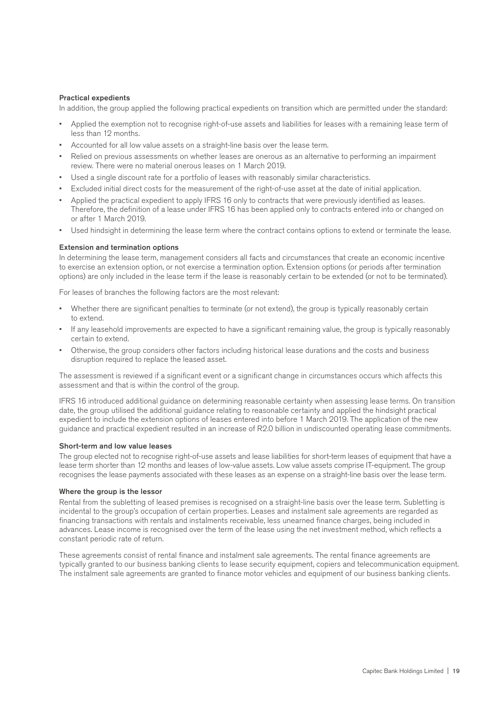#### Practical expedients

In addition, the group applied the following practical expedients on transition which are permitted under the standard:

- Applied the exemption not to recognise right-of-use assets and liabilities for leases with a remaining lease term of less than 12 months.
- Accounted for all low value assets on a straight-line basis over the lease term.
- Relied on previous assessments on whether leases are onerous as an alternative to performing an impairment review. There were no material onerous leases on 1 March 2019.
- Used a single discount rate for a portfolio of leases with reasonably similar characteristics.
- Excluded initial direct costs for the measurement of the right-of-use asset at the date of initial application.
- Applied the practical expedient to apply IFRS 16 only to contracts that were previously identified as leases. Therefore, the definition of a lease under IFRS 16 has been applied only to contracts entered into or changed on or after 1 March 2019.
- Used hindsight in determining the lease term where the contract contains options to extend or terminate the lease.

#### Extension and termination options

In determining the lease term, management considers all facts and circumstances that create an economic incentive to exercise an extension option, or not exercise a termination option. Extension options (or periods after termination options) are only included in the lease term if the lease is reasonably certain to be extended (or not to be terminated).

For leases of branches the following factors are the most relevant:

- Whether there are significant penalties to terminate (or not extend), the group is typically reasonably certain to extend.
- If any leasehold improvements are expected to have a significant remaining value, the group is typically reasonably certain to extend.
- Otherwise, the group considers other factors including historical lease durations and the costs and business disruption required to replace the leased asset.

The assessment is reviewed if a significant event or a significant change in circumstances occurs which affects this assessment and that is within the control of the group.

IFRS 16 introduced additional guidance on determining reasonable certainty when assessing lease terms. On transition date, the group utilised the additional guidance relating to reasonable certainty and applied the hindsight practical expedient to include the extension options of leases entered into before 1 March 2019. The application of the new guidance and practical expedient resulted in an increase of R2.0 billion in undiscounted operating lease commitments.

#### Short-term and low value leases

The group elected not to recognise right-of-use assets and lease liabilities for short-term leases of equipment that have a lease term shorter than 12 months and leases of low-value assets. Low value assets comprise IT-equipment. The group recognises the lease payments associated with these leases as an expense on a straight-line basis over the lease term.

#### Where the group is the lessor

Rental from the subletting of leased premises is recognised on a straight-line basis over the lease term. Subletting is incidental to the group's occupation of certain properties. Leases and instalment sale agreements are regarded as financing transactions with rentals and instalments receivable, less unearned finance charges, being included in advances. Lease income is recognised over the term of the lease using the net investment method, which reflects a constant periodic rate of return.

These agreements consist of rental finance and instalment sale agreements. The rental finance agreements are typically granted to our business banking clients to lease security equipment, copiers and telecommunication equipment. The instalment sale agreements are granted to finance motor vehicles and equipment of our business banking clients.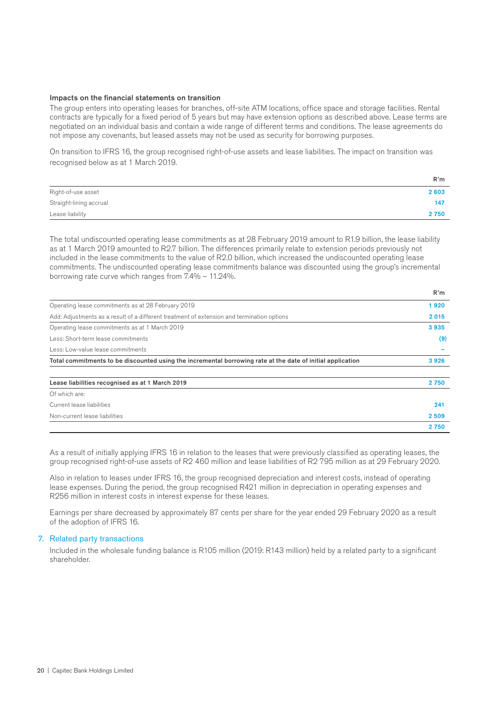#### Impacts on the financial statements on transition

The group enters into operating leases for branches, off-site ATM locations, office space and storage facilities. Rental contracts are typically for a fixed period of 5 years but may have extension options as described above. Lease terms are negotiated on an individual basis and contain a wide range of different terms and conditions. The lease agreements do not impose any covenants, but leased assets may not be used as security for borrowing purposes.

On transition to IFRS 16, the group recognised right-of-use assets and lease liabilities. The impact on transition was recognised below as at 1 March 2019.

|                         | R'm     |
|-------------------------|---------|
| Right-of-use asset      | 2 603   |
| Straight-lining accrual | 147     |
| Lease liability         | 2 7 5 0 |

The total undiscounted operating lease commitments as at 28 February 2019 amount to R1.9 billion, the lease liability as at 1 March 2019 amounted to R2.7 billion. The differences primarily relate to extension periods previously not included in the lease commitments to the value of R2.0 billion, which increased the undiscounted operating lease commitments. The undiscounted operating lease commitments balance was discounted using the group's incremental borrowing rate curve which ranges from 7.4% – 11.24%.

R'm

|                                                                                                            | .     |
|------------------------------------------------------------------------------------------------------------|-------|
| Operating lease commitments as at 28 February 2019                                                         | 1920  |
| Add: Adjustments as a result of a different treatment of extension and termination options                 | 2015  |
| Operating lease commitments as at 1 March 2019                                                             | 3935  |
| Less: Short-term lease commitments                                                                         | (9)   |
| Less: Low-value lease commitments                                                                          |       |
| Total commitments to be discounted using the incremental borrowing rate at the date of initial application | 3926  |
|                                                                                                            |       |
| Lease liabilities recognised as at 1 March 2019                                                            | 2750  |
| Of which are:                                                                                              |       |
| Current lease liabilities                                                                                  | 241   |
| Non-current lease liabilities                                                                              | 2509  |
|                                                                                                            | 2 750 |

As a result of initially applying IFRS 16 in relation to the leases that were previously classified as operating leases, the group recognised right-of-use assets of R2 460 million and lease liabilities of R2 795 million as at 29 February 2020.

Also in relation to leases under IFRS 16, the group recognised depreciation and interest costs, instead of operating lease expenses. During the period, the group recognised R421 million in depreciation in operating expenses and R256 million in interest costs in interest expense for these leases.

Earnings per share decreased by approximately 87 cents per share for the year ended 29 February 2020 as a result of the adoption of IFRS 16.

#### 7. Related party transactions

Included in the wholesale funding balance is R105 million (2019: R143 million) held by a related party to a significant shareholder.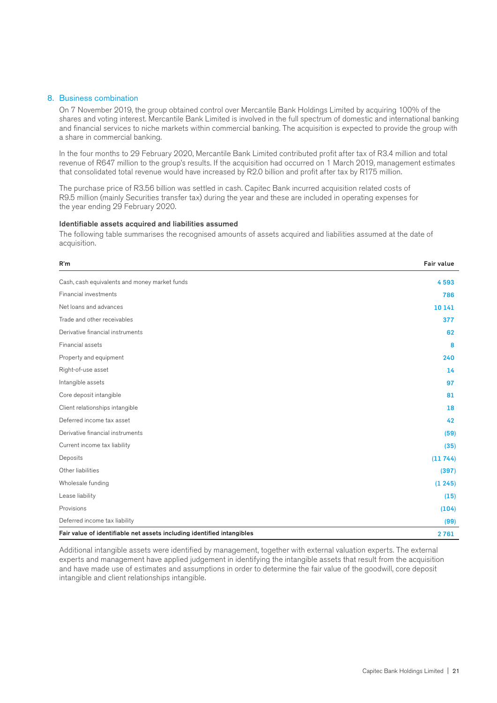#### 8. Business combination

On 7 November 2019, the group obtained control over Mercantile Bank Holdings Limited by acquiring 100% of the shares and voting interest. Mercantile Bank Limited is involved in the full spectrum of domestic and international banking and financial services to niche markets within commercial banking. The acquisition is expected to provide the group with a share in commercial banking.

In the four months to 29 February 2020, Mercantile Bank Limited contributed profit after tax of R3.4 million and total revenue of R647 million to the group's results. If the acquisition had occurred on 1 March 2019, management estimates that consolidated total revenue would have increased by R2.0 billion and profit after tax by R175 million.

The purchase price of R3.56 billion was settled in cash. Capitec Bank incurred acquisition related costs of R9.5 million (mainly Securities transfer tax) during the year and these are included in operating expenses for the year ending 29 February 2020.

#### Identifiable assets acquired and liabilities assumed

The following table summarises the recognised amounts of assets acquired and liabilities assumed at the date of acquisition.

| R'm                                                                    | <b>Fair value</b> |
|------------------------------------------------------------------------|-------------------|
| Cash, cash equivalents and money market funds                          | 4593              |
| Financial investments                                                  | 786               |
| Net loans and advances                                                 | 10 14 1           |
| Trade and other receivables                                            | 377               |
| Derivative financial instruments                                       | 62                |
| Financial assets                                                       | 8                 |
| Property and equipment                                                 | 240               |
| Right-of-use asset                                                     | 14                |
| Intangible assets                                                      | 97                |
| Core deposit intangible                                                | 81                |
| Client relationships intangible                                        | 18                |
| Deferred income tax asset                                              | 42                |
| Derivative financial instruments                                       | (59)              |
| Current income tax liability                                           | (35)              |
| Deposits                                                               | (11744)           |
| Other liabilities                                                      | (397)             |
| Wholesale funding                                                      | (1245)            |
| Lease liability                                                        | (15)              |
| Provisions                                                             | (104)             |
| Deferred income tax liability                                          | (99)              |
| Fair value of identifiable net assets including identified intangibles | 2761              |

Additional intangible assets were identified by management, together with external valuation experts. The external experts and management have applied judgement in identifying the intangible assets that result from the acquisition and have made use of estimates and assumptions in order to determine the fair value of the goodwill, core deposit intangible and client relationships intangible.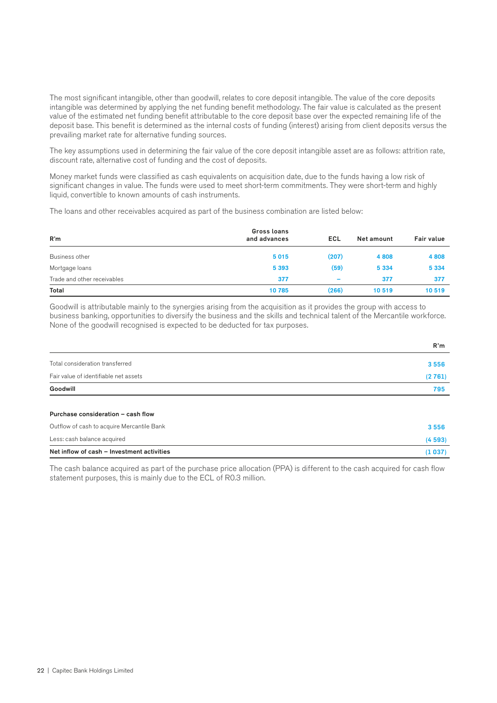The most significant intangible, other than goodwill, relates to core deposit intangible. The value of the core deposits intangible was determined by applying the net funding benefit methodology. The fair value is calculated as the present value of the estimated net funding benefit attributable to the core deposit base over the expected remaining life of the deposit base. This benefit is determined as the internal costs of funding (interest) arising from client deposits versus the prevailing market rate for alternative funding sources.

The key assumptions used in determining the fair value of the core deposit intangible asset are as follows: attrition rate, discount rate, alternative cost of funding and the cost of deposits.

Money market funds were classified as cash equivalents on acquisition date, due to the funds having a low risk of significant changes in value. The funds were used to meet short-term commitments. They were short-term and highly liquid, convertible to known amounts of cash instruments.

The loans and other receivables acquired as part of the business combination are listed below:

| R'm                         | Gross loans<br>and advances | ECL                      | Net amount | <b>Fair value</b> |
|-----------------------------|-----------------------------|--------------------------|------------|-------------------|
| Business other              | 5015                        | (207)                    | 4808       | 4 8 0 8           |
| Mortgage loans              | 5 3 9 3                     | (59)                     | 5 3 3 4    | 5 3 3 4           |
| Trade and other receivables | 377                         | $\overline{\phantom{0}}$ | 377        | 377               |
| Total                       | 10785                       | (266)                    | 10519      | 10519             |

Goodwill is attributable mainly to the synergies arising from the acquisition as it provides the group with access to business banking, opportunities to diversify the business and the skills and technical talent of the Mercantile workforce. None of the goodwill recognised is expected to be deducted for tax purposes.

|                                       | R'm    |
|---------------------------------------|--------|
| Total consideration transferred       | 3556   |
| Fair value of identifiable net assets | (2761) |
| Goodwill                              | 795    |
|                                       |        |

#### Purchase consideration – cash flow

| Net inflow of cash - Investment activities | (1037) |
|--------------------------------------------|--------|
| Less: cash balance acquired                | (4593) |
| Outflow of cash to acquire Mercantile Bank | 3556   |

The cash balance acquired as part of the purchase price allocation (PPA) is different to the cash acquired for cash flow statement purposes, this is mainly due to the ECL of R0.3 million.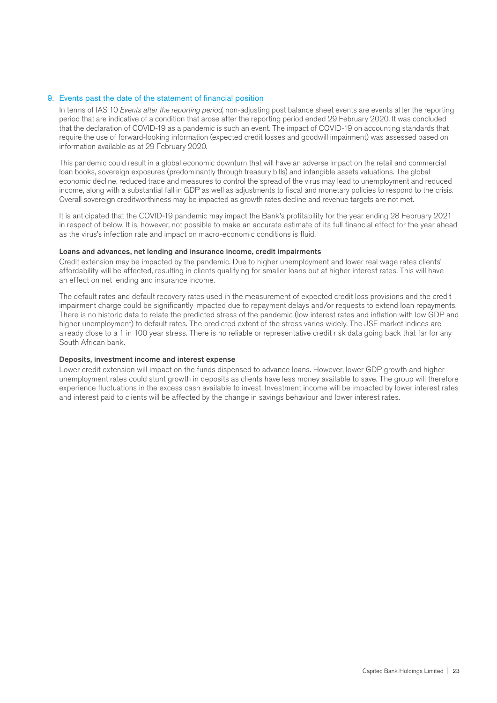#### 9. Events past the date of the statement of financial position

In terms of IAS 10 *Events after the reporting period*, non-adjusting post balance sheet events are events after the reporting period that are indicative of a condition that arose after the reporting period ended 29 February 2020. It was concluded that the declaration of COVID-19 as a pandemic is such an event. The impact of COVID-19 on accounting standards that require the use of forward-looking information (expected credit losses and goodwill impairment) was assessed based on information available as at 29 February 2020.

This pandemic could result in a global economic downturn that will have an adverse impact on the retail and commercial loan books, sovereign exposures (predominantly through treasury bills) and intangible assets valuations. The global economic decline, reduced trade and measures to control the spread of the virus may lead to unemployment and reduced income, along with a substantial fall in GDP as well as adjustments to fiscal and monetary policies to respond to the crisis. Overall sovereign creditworthiness may be impacted as growth rates decline and revenue targets are not met.

It is anticipated that the COVID-19 pandemic may impact the Bank's profitability for the year ending 28 February 2021 in respect of below. It is, however, not possible to make an accurate estimate of its full financial effect for the year ahead as the virus's infection rate and impact on macro-economic conditions is fluid.

#### Loans and advances, net lending and insurance income, credit impairments

Credit extension may be impacted by the pandemic. Due to higher unemployment and lower real wage rates clients' affordability will be affected, resulting in clients qualifying for smaller loans but at higher interest rates. This will have an effect on net lending and insurance income.

The default rates and default recovery rates used in the measurement of expected credit loss provisions and the credit impairment charge could be significantly impacted due to repayment delays and/or requests to extend loan repayments. There is no historic data to relate the predicted stress of the pandemic (low interest rates and inflation with low GDP and higher unemployment) to default rates. The predicted extent of the stress varies widely. The JSE market indices are already close to a 1 in 100 year stress. There is no reliable or representative credit risk data going back that far for any South African bank.

#### Deposits, investment income and interest expense

Lower credit extension will impact on the funds dispensed to advance loans. However, lower GDP growth and higher unemployment rates could stunt growth in deposits as clients have less money available to save. The group will therefore experience fluctuations in the excess cash available to invest. Investment income will be impacted by lower interest rates and interest paid to clients will be affected by the change in savings behaviour and lower interest rates.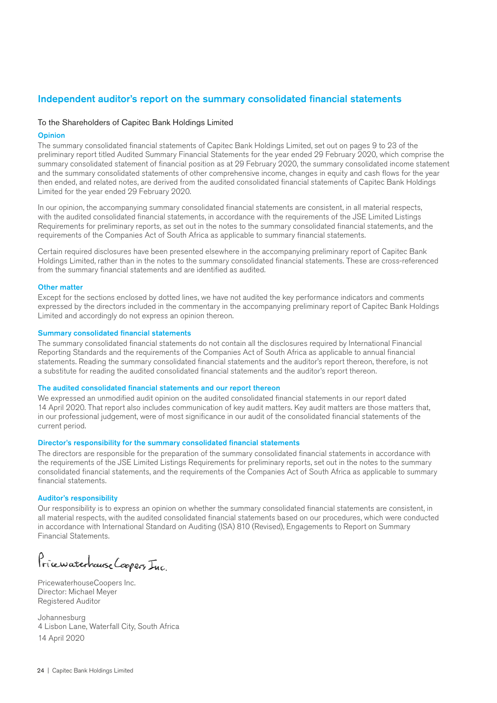### Independent auditor's report on the summary consolidated financial statements

#### To the Shareholders of Capitec Bank Holdings Limited

#### **Opinion**

The summary consolidated financial statements of Capitec Bank Holdings Limited, set out on pages 9 to 23 of the preliminary report titled Audited Summary Financial Statements for the year ended 29 February 2020, which comprise the summary consolidated statement of financial position as at 29 February 2020, the summary consolidated income statement and the summary consolidated statements of other comprehensive income, changes in equity and cash flows for the year then ended, and related notes, are derived from the audited consolidated financial statements of Capitec Bank Holdings Limited for the year ended 29 February 2020.

In our opinion, the accompanying summary consolidated financial statements are consistent, in all material respects, with the audited consolidated financial statements, in accordance with the requirements of the JSE Limited Listings Requirements for preliminary reports, as set out in the notes to the summary consolidated financial statements, and the requirements of the Companies Act of South Africa as applicable to summary financial statements.

Certain required disclosures have been presented elsewhere in the accompanying preliminary report of Capitec Bank Holdings Limited, rather than in the notes to the summary consolidated financial statements. These are cross-referenced from the summary financial statements and are identified as audited.

#### Other matter

Except for the sections enclosed by dotted lines, we have not audited the key performance indicators and comments expressed by the directors included in the commentary in the accompanying preliminary report of Capitec Bank Holdings Limited and accordingly do not express an opinion thereon.

#### Summary consolidated financial statements

The summary consolidated financial statements do not contain all the disclosures required by International Financial Reporting Standards and the requirements of the Companies Act of South Africa as applicable to annual financial statements. Reading the summary consolidated financial statements and the auditor's report thereon, therefore, is not a substitute for reading the audited consolidated financial statements and the auditor's report thereon.

#### The audited consolidated financial statements and our report thereon

We expressed an unmodified audit opinion on the audited consolidated financial statements in our report dated 14 April 2020. That report also includes communication of key audit matters. Key audit matters are those matters that, in our professional judgement, were of most significance in our audit of the consolidated financial statements of the current period.

#### Director's responsibility for the summary consolidated financial statements

The directors are responsible for the preparation of the summary consolidated financial statements in accordance with the requirements of the JSE Limited Listings Requirements for preliminary reports, set out in the notes to the summary consolidated financial statements, and the requirements of the Companies Act of South Africa as applicable to summary financial statements.

#### Auditor's responsibility

Our responsibility is to express an opinion on whether the summary consolidated financial statements are consistent, in all material respects, with the audited consolidated financial statements based on our procedures, which were conducted in accordance with International Standard on Auditing (ISA) 810 (Revised), Engagements to Report on Summary Financial Statements.

Pricewaterhouse Coopers Inc.

PricewaterhouseCoopers Inc. Director: Michael Meyer Registered Auditor

Johannesburg 4 Lisbon Lane, Waterfall City, South Africa 14 April 2020